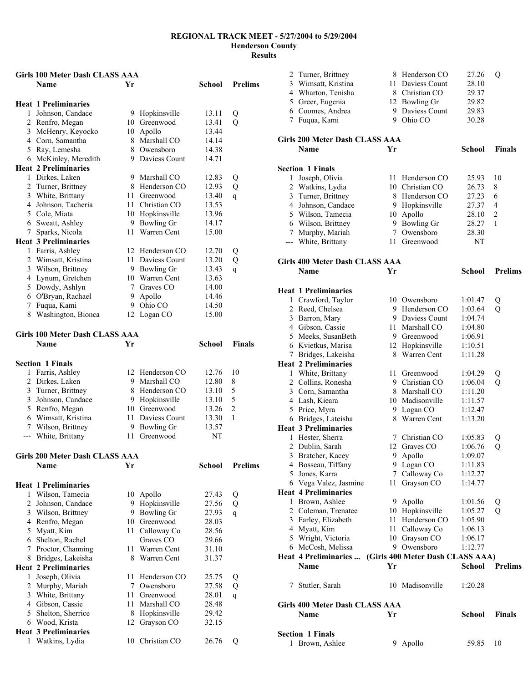|   | Girls 100 Meter Dash CLASS AAA           |    |                                 |                |                |
|---|------------------------------------------|----|---------------------------------|----------------|----------------|
|   | <b>Name</b>                              | Yr |                                 | School         | <b>Prelims</b> |
|   |                                          |    |                                 |                |                |
|   | <b>Heat 1 Preliminaries</b>              |    |                                 |                |                |
|   | 1 Johnson, Candace                       |    | 9 Hopkinsville                  | 13.11          | Q              |
|   | 2 Renfro, Megan                          |    | 10 Greenwood                    | 13.41          | Q              |
|   | 3 McHenry, Keyocko                       | 10 | Apollo                          | 13.44          |                |
|   | 4 Corn, Samantha                         |    | 8 Marshall CO                   | 14.14          |                |
|   | 5 Ray, Lemesha                           |    | 8 Owensboro                     | 14.38          |                |
|   | 6 McKinley, Meredith                     |    | 9 Daviess Count                 | 14.71          |                |
|   | <b>Heat 2 Preliminaries</b>              |    |                                 |                |                |
|   | 1 Dirkes, Laken                          |    | 9 Marshall CO                   | 12.83          | Q              |
|   | 2 Turner, Brittney                       |    | 8 Henderson CO                  | 12.93          | Q              |
|   | 3 White, Brittany                        | 11 | Greenwood                       | 13.40          | $\overline{q}$ |
|   | 4 Johnson, Tacheria                      | 11 | Christian CO                    | 13.53          |                |
|   | 5 Cole, Miata                            |    | 10 Hopkinsville<br>9 Bowling Gr | 13.96<br>14.17 |                |
| 7 | 6 Sweatt, Ashley<br>Sparks, Nicola       | 11 | Warren Cent                     | 15.00          |                |
|   | <b>Heat 3 Preliminaries</b>              |    |                                 |                |                |
|   | 1 Farris, Ashley                         | 12 | Henderson CO                    | 12.70          |                |
|   | 2 Wimsatt, Kristina                      |    | 11 Daviess Count                | 13.20          | Q<br>Q         |
|   | 3 Wilson, Brittney                       |    | 9 Bowling Gr                    | 13.43          | $\mathbf{q}$   |
|   | 4 Lynum, Gretchen                        |    | 10 Warren Cent                  | 13.63          |                |
|   | 5 Dowdy, Ashlyn                          |    | 7 Graves CO                     | 14.00          |                |
|   | 6 O'Bryan, Rachael                       |    | 9 Apollo                        | 14.46          |                |
| 7 | Fuqua, Kami                              |    | 9 Ohio CO                       | 14.50          |                |
| 8 | Washington, Bionca                       |    | 12 Logan CO                     | 15.00          |                |
|   |                                          |    |                                 |                |                |
|   | <b>Girls 100 Meter Dash CLASS AAA</b>    |    |                                 |                |                |
|   | <b>Name</b>                              | Yr |                                 | School         | <b>Finals</b>  |
|   |                                          |    |                                 |                |                |
|   | <b>Section 1 Finals</b>                  |    |                                 |                |                |
|   | 1 Farris, Ashley                         |    | 12 Henderson CO                 | 12.76          | 10             |
|   | 2 Dirkes, Laken                          | 9. | Marshall CO                     | 12.80          | 8              |
|   | 3 Turner, Brittney                       | 8  | Henderson CO                    | 13.10          | 5              |
|   | 3 Johnson, Candace                       |    | 9 Hopkinsville                  | 13.10          | 5              |
|   | 5 Renfro, Megan                          |    | 10 Greenwood                    | 13.26          | $\overline{c}$ |
|   | 6 Wimsatt, Kristina                      | 11 | Daviess Count                   | 13.30          | 1              |
|   | 7 Wilson, Brittney                       | 9  | <b>Bowling Gr</b>               | 13.57          |                |
|   | --- White, Brittany                      | 11 | Greenwood                       | NT             |                |
|   |                                          |    |                                 |                |                |
|   | Girls 200 Meter Dash CLASS AAA           |    |                                 |                |                |
|   | Name                                     | Yr |                                 | School         | <b>Prelims</b> |
|   |                                          |    |                                 |                |                |
|   | <b>Heat 1 Preliminaries</b>              |    |                                 |                |                |
| 1 | Wilson, Tamecia                          | 10 | Apollo                          | 27.43          | Q              |
|   | 2 Johnson, Candace                       | 9. | Hopkinsville                    | 27.56          | Q              |
|   | 3 Wilson, Brittney                       | 9. | Bowling Gr<br>10 Greenwood      | 27.93          | $\mathbf{q}$   |
|   | 4 Renfro, Megan                          | 11 |                                 | 28.03<br>28.56 |                |
|   | 5 Myatt, Kim                             |    | Calloway Co<br>Graves CO        | 29.66          |                |
|   | 6 Shelton, Rachel<br>7 Proctor, Channing | 11 | Warren Cent                     | 31.10          |                |
|   | 8 Bridges, Lakeisha                      | 8  | Warren Cent                     | 31.37          |                |
|   | <b>Heat 2 Preliminaries</b>              |    |                                 |                |                |
| 1 | Joseph, Olivia                           | 11 | Henderson CO                    | 25.75          |                |
|   | 2 Murphy, Mariah                         | 7  | Owensboro                       | 27.58          | Q<br>Q         |
|   | 3 White, Brittany                        | 11 | Greenwood                       | 28.01          | $\mathbf{q}$   |
|   | 4 Gibson, Cassie                         | 11 | Marshall CO                     | 28.48          |                |
|   | 5 Shelton, Sherrice                      | 8  | Hopkinsville                    | 29.42          |                |
|   | 6 Wood, Krista                           | 12 | Grayson CO                      | 32.15          |                |
|   | <b>Heat 3 Preliminaries</b>              |    |                                 |                |                |
| 1 | Watkins, Lydia                           | 10 | Christian CO                    | 26.76          | Q              |

| 2              | Turner, Brittney                     |     | 8 Henderson CO                   | 27.26              | Q              |
|----------------|--------------------------------------|-----|----------------------------------|--------------------|----------------|
| 3              | Wimsatt, Kristina                    |     | 11 Daviess Count                 | 28.10              |                |
|                | 4 Wharton, Tenisha                   |     | 8 Christian CO                   | 29.37              |                |
|                | 5 Greer, Eugenia                     |     | 12 Bowling Gr                    | 29.82              |                |
|                | 6 Coomes, Andrea                     | 9.  | Daviess Count                    | 29.83              |                |
| 7              | Fuqua, Kami                          |     | 9 Ohio CO                        | 30.28              |                |
|                | Girls 200 Meter Dash CLASS AAA       |     |                                  |                    |                |
|                | <b>Name</b>                          | Yr  |                                  | School             | <b>Finals</b>  |
|                | <b>Section 1 Finals</b>              |     |                                  |                    |                |
| 1              | Joseph, Olivia                       |     | 11 Henderson CO                  | 25.93              | 10             |
| $\overline{2}$ | Watkins, Lydia                       |     | 10 Christian CO                  | 26.73              | 8              |
| 3              | Turner, Brittney                     |     | 8 Henderson CO                   | 27.23              | 6              |
| 4              | Johnson, Candace                     |     | 9 Hopkinsville                   | 27.37              | 4              |
| 5              | Wilson, Tamecia                      |     | 10 Apollo                        | 28.10              | 2              |
|                | 6 Wilson, Brittney                   |     | 9 Bowling Gr                     | 28.27              | 1              |
|                | 7 Murphy, Mariah                     |     | 7 Owensboro                      | 28.30              |                |
|                | --- White, Brittany                  |     | 11 Greenwood                     | NT                 |                |
|                | Girls 400 Meter Dash CLASS AAA       |     |                                  |                    |                |
|                | Name                                 | Yr  |                                  | <b>School</b>      | <b>Prelims</b> |
|                |                                      |     |                                  |                    |                |
|                | <b>Heat 1 Preliminaries</b>          |     |                                  |                    |                |
| $\overline{2}$ | 1 Crawford, Taylor<br>Reed, Chelsea  |     | 10 Owensboro<br>9 Henderson CO   | 1:01.47<br>1:03.64 | Q<br>Q         |
| 3              | Barron, Mary                         |     | 9 Daviess Count                  | 1:04.74            |                |
|                | 4 Gibson, Cassie                     |     | 11 Marshall CO                   | 1:04.80            |                |
|                | 5 Meeks, SusanBeth                   |     | 9 Greenwood                      | 1:06.91            |                |
|                | 6 Kvietkus, Marisa                   |     | 12 Hopkinsville                  | 1:10.51            |                |
| 7              | Bridges, Lakeisha                    |     | 8 Warren Cent                    | 1:11.28            |                |
|                | <b>Heat 2 Preliminaries</b>          |     |                                  |                    |                |
|                | 1 White, Brittany                    |     | 11 Greenwood                     | 1:04.29            | Q              |
|                | 2 Collins, Ronesha                   |     | 9 Christian CO                   | 1:06.04            | Q              |
| 3              | Corn, Samantha                       |     | 8 Marshall CO                    | 1:11.20            |                |
|                | 4 Lash, Kieara                       |     | 10 Madisonville                  | 1:11.57            |                |
|                | 5 Price, Myra                        |     | 9 Logan CO                       | 1:12.47            |                |
|                | 6 Bridges, Lateisha                  |     | 8 Warren Cent                    | 1:13.20            |                |
|                | <b>Heat 3 Preliminaries</b>          |     |                                  |                    |                |
| 1              | Hester, Sherra                       | 7   | Christian CO                     | 1:05.83            | Q              |
| $\overline{c}$ | Dublin, Sarah                        | 12  | Graves CO                        | 1:06.76            | $\mathcal{O}$  |
|                | 3 Bratcher, Kacey                    |     | 9 Apollo<br>9 Logan CO           | 1:09.07            |                |
|                | 4 Bosseau, Tiffany<br>5 Jones, Karra |     | 7 Calloway Co                    | 1:11.83<br>1:12.27 |                |
|                | 6 Vega Valez, Jasmine                | 11  | Grayson CO                       | 1:14.77            |                |
|                | <b>Heat 4 Preliminaries</b>          |     |                                  |                    |                |
|                | 1 Brown, Ashlee                      |     | 9 Apollo                         | 1:01.56            | Q              |
|                | 2 Coleman, Trenatee                  |     | 10 Hopkinsville                  | 1:05.27            | Q              |
|                | 3 Farley, Elizabeth                  | 11- | Henderson CO                     | 1:05.90            |                |
|                | 4 Myatt, Kim                         |     | 11 Calloway Co                   | 1:06.13            |                |
|                | 5 Wright, Victoria                   |     | 10 Grayson CO                    | 1:06.17            |                |
|                | 6 McCosh, Melissa                    |     | 9 Owensboro                      | 1:12.77            |                |
|                | Heat 4 Preliminaries                 |     | (Girls 400 Meter Dash CLASS AAA) |                    |                |
|                | <b>Name</b>                          | Yr  |                                  | School             | <b>Prelims</b> |
| 7              | Stutler, Sarah                       |     | 10 Madisonville                  | 1:20.28            |                |
|                | Girls 400 Meter Dash CLASS AAA       |     |                                  |                    |                |
|                | Name                                 | Yr  |                                  | School             | Finals         |
|                |                                      |     |                                  |                    |                |
|                | <b>Section 1 Finals</b>              |     |                                  |                    |                |
| 1              | Brown, Ashlee                        |     | 9 Apollo                         | 59.85              | 10             |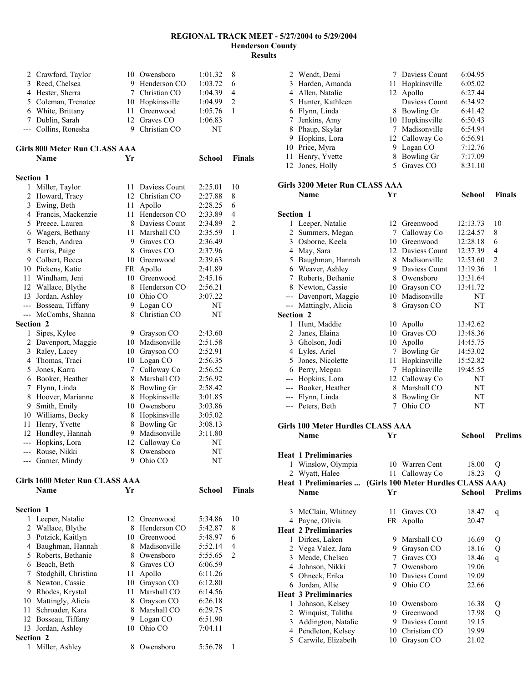|                  | 2 Crawford, Taylor<br>3 Reed, Chelsea |    | 10 Owensboro<br>9 Henderson CO      | 1:01.32<br>1:03.72 | 8<br>6         |
|------------------|---------------------------------------|----|-------------------------------------|--------------------|----------------|
|                  | 4 Hester, Sherra                      |    | 7 Christian CO                      | 1:04.39            | 4              |
|                  | 5 Coleman, Trenatee                   |    | 10 Hopkinsville                     | 1:04.99            | $\overline{c}$ |
|                  | 6 White, Brittany                     |    | 11 Greenwood                        | 1:05.76            | 1              |
|                  | 7 Dublin, Sarah                       |    | 12 Graves CO                        | 1:06.83            |                |
|                  | --- Collins, Ronesha                  |    | 9 Christian CO                      | NΤ                 |                |
|                  | Girls 800 Meter Run CLASS AAA         |    |                                     |                    |                |
|                  | <b>Name</b>                           | Yr |                                     | School             | <b>Finals</b>  |
| <b>Section 1</b> |                                       |    |                                     |                    |                |
| 1                | Miller, Taylor                        |    | 11 Daviess Count<br>12 Christian CO | 2:25.01            | 10<br>8        |
|                  | 2 Howard, Tracy<br>3 Ewing, Beth      |    |                                     | 2:27.88<br>2:28.25 | 6              |
|                  | 4 Francis, Mackenzie                  |    | 11 Apollo<br>11 Henderson CO        | 2:33.89            | 4              |
|                  | 5 Preece, Lauren                      |    | 8 Daviess Count                     | 2:34.89            | $\overline{c}$ |
|                  | 6 Wagers, Bethany                     |    | 11 Marshall CO                      | 2:35.59            | $\mathbf{1}$   |
| 7                | Beach, Andrea                         |    | 9 Graves CO                         | 2:36.49            |                |
| 8                | Farris, Paige                         |    | 8 Graves CO                         | 2:37.96            |                |
|                  | 9 Colbert, Becca                      |    | 10 Greenwood                        | 2:39.63            |                |
|                  | 10 Pickens, Katie                     |    | FR Apollo                           | 2:41.89            |                |
|                  | 11 Windham, Jeni                      |    | 10 Greenwood                        | 2:45.16            |                |
|                  | 12 Wallace, Blythe                    |    | 8 Henderson CO                      | 2:56.21            |                |
|                  | 13 Jordan, Ashley                     |    | 10 Ohio CO                          | 3:07.22            |                |
|                  | --- Bosseau, Tiffany                  |    | 9 Logan CO                          | NΤ                 |                |
|                  | --- McCombs, Shanna                   | 8  | Christian CO                        | NT                 |                |
| Section 2        |                                       |    |                                     |                    |                |
| $\mathbf{1}$     | Sipes, Kylee                          | 9. | Grayson CO                          | 2:43.60            |                |
|                  | 2 Davenport, Maggie                   |    | 10 Madisonville                     | 2:51.58            |                |
|                  | 3 Raley, Lacey                        |    | 10 Grayson CO                       | 2:52.91            |                |
|                  | 4 Thomas, Traci                       |    | 10 Logan CO                         | 2:56.35            |                |
| 5                | Jones, Karra                          | 7  | Calloway Co                         | 2:56.52            |                |
| 6                | Booker, Heather                       | 8  | Marshall CO                         | 2:56.92            |                |
| 7                | Flynn, Linda                          |    | 8 Bowling Gr                        | 2:58.42            |                |
| 8                | Hoover, Marianne                      |    | 8 Hopkinsville                      | 3:01.85            |                |
| 9                | Smith, Emily                          |    | 10 Owensboro                        | 3:03.86            |                |
|                  | 10 Williams, Becky                    |    | 8 Hopkinsville                      | 3:05.02            |                |
| 11               | Henry, Yvette                         |    | 8 Bowling Gr                        | 3:08.13            |                |
|                  | 12 Hundley, Hannah                    |    | 9 Madisonville                      | 3:11.80            |                |
|                  | --- Hopkins, Lora                     |    | 12 Calloway Co                      | NT                 |                |
|                  | --- Rouse, Nikki                      |    | 8 Owensboro                         | NT                 |                |
|                  | Garner, Mindy                         |    | 9 Ohio CO                           | NΤ                 |                |
|                  | <b>Girls 1600 Meter Run CLASS AAA</b> |    |                                     |                    |                |
|                  | <b>Name</b>                           | Yr |                                     | <b>School</b>      | <b>Finals</b>  |
| Section 1        |                                       |    |                                     |                    |                |
| 1                | Leeper, Natalie                       | 12 | Greenwood                           | 5:34.86            | 10             |
| 2                | Wallace, Blythe                       |    | 8 Henderson CO                      | 5:42.87            | 8              |
| 3                | Potzick, Kaitlyn                      |    | 10 Greenwood                        | 5:48.97            | 6              |
|                  | 4 Baughman, Hannah                    |    | 8 Madisonville                      | 5:52.14            | 4              |
| 5                | Roberts, Bethanie                     | 8  | Owensboro                           | 5:55.65            | 2              |
|                  | 6 Beach, Beth                         |    | 8 Graves CO                         | 6:06.59            |                |
| 7                | Stodghill, Christina                  |    | 11 Apollo                           | 6:11.26            |                |
| 8                | Newton, Cassie                        |    | 10 Grayson CO                       | 6:12.80            |                |
| 9                | Rhodes, Krystal                       |    | 11 Marshall CO                      | 6:14.56            |                |
|                  | 10 Mattingly, Alicia                  |    | 8 Grayson CO                        | 6:26.18            |                |
| 11               | Schroader, Kara                       |    | 8 Marshall CO                       | 6:29.75            |                |
|                  | 12 Bosseau, Tiffany                   |    | 9 Logan CO                          | 6:51.90            |                |
| 13               | Jordan, Ashley                        | 10 | Ohio CO                             | 7:04.11            |                |
| Section 2        |                                       |    |                                     |                    |                |
| 1                | Miller, Ashley                        |    | 8 Owensboro                         | 5:56.78            | 1              |

| Section 1 |                                |      |                 |         |               |
|-----------|--------------------------------|------|-----------------|---------|---------------|
|           | <b>Name</b>                    | Yr   |                 | School  | <b>Finals</b> |
|           | Girls 3200 Meter Run CLASS AAA |      |                 |         |               |
|           | 12 Jones, Holly                | 5.   | Graves CO       | 8:31.10 |               |
| 11        | Henry, Yvette                  | 8    | Bowling Gr      | 7:17.09 |               |
| 10        | Price, Myra                    | 9    | Logan CO        | 7:12.76 |               |
| 9         | Hopkins, Lora                  |      | 12 Calloway Co  | 6:56.91 |               |
| 8         | Phaup, Skylar                  | 7    | Madisonville    | 6:54.94 |               |
| 7         | Jenkins, Amy                   |      | 10 Hopkinsville | 6:50.43 |               |
| 6         | Flynn, Linda                   | 8    | Bowling Gr      | 6:41.42 |               |
| 5.        | Hunter, Kathleen               |      | Daviess Count   | 6:34.92 |               |
| 4         | Allen, Natalie                 |      | 12 Apollo       | 6:27.44 |               |
| 3         | Harden, Amanda                 | 11 - | Hopkinsville    | 6:05.02 |               |
|           | 2 Wendt, Demi                  |      | Daviess Count   | 6:04.95 |               |

| <b>Section 1</b>    |                   |    |                  |          |                |
|---------------------|-------------------|----|------------------|----------|----------------|
|                     | 1 Leeper, Natalie | 12 | Greenwood        | 12:13.73 | 10             |
| 2                   | Summers, Megan    | 7  | Calloway Co      | 12:24.57 | 8              |
| 3                   | Osborne, Keela    | 10 | Greenwood        | 12:28.18 | 6              |
| 4                   | May, Sara         |    | 12 Daviess Count | 12:37.39 | 4              |
| 5                   | Baughman, Hannah  | 8  | Madisonville     | 12:53.60 | $\overline{2}$ |
| 6                   | Weaver, Ashley    | 9  | Daviess Count    | 13:19.36 | 1              |
| 7                   | Roberts, Bethanie | 8  | Owensboro        | 13:31.64 |                |
| 8                   | Newton, Cassie    | 10 | Grayson CO       | 13:41.72 |                |
|                     | Davenport, Maggie | 10 | Madisonville     | NT       |                |
|                     | Mattingly, Alicia | 8  | Grayson CO       | NT       |                |
| <b>Section 2</b>    |                   |    |                  |          |                |
| 1                   | Hunt, Maddie      | 10 | Apollo           | 13:42.62 |                |
| 2                   | Janes, Elaina     | 10 | Graves CO        | 13:48.36 |                |
| 3                   | Gholson, Jodi     | 10 | Apollo           | 14:45.75 |                |
|                     | 4 Lyles, Ariel    | 7  | Bowling Gr       | 14:53.02 |                |
| 5                   | Jones, Nicolette  | 11 | Hopkinsville     | 15:52.82 |                |
| 6                   | Perry, Megan      | 7  | Hopkinsville     | 19:45.55 |                |
| $\qquad \qquad - -$ | Hopkins, Lora     |    | 12 Calloway Co   | NT       |                |
| $---$               | Booker, Heather   | 8  | Marshall CO      | NT       |                |
|                     | Flynn, Linda      | 8  | Bowling Gr       | NT       |                |
|                     | --- Peters, Beth  | 7  | Ohio CO          | NT       |                |

| Yr |              | School                                                                                                                                                                           | <b>Prelims</b>                                                                       |
|----|--------------|----------------------------------------------------------------------------------------------------------------------------------------------------------------------------------|--------------------------------------------------------------------------------------|
|    |              |                                                                                                                                                                                  |                                                                                      |
|    |              | 18.00                                                                                                                                                                            | Q                                                                                    |
|    |              | 18.23                                                                                                                                                                            | Q                                                                                    |
|    |              |                                                                                                                                                                                  |                                                                                      |
| Yr |              | School                                                                                                                                                                           | <b>Prelims</b>                                                                       |
|    |              |                                                                                                                                                                                  |                                                                                      |
|    |              |                                                                                                                                                                                  | q                                                                                    |
|    |              |                                                                                                                                                                                  |                                                                                      |
|    |              |                                                                                                                                                                                  |                                                                                      |
|    |              |                                                                                                                                                                                  | Q                                                                                    |
| 9  | Grayson CO   | 18.16                                                                                                                                                                            | Q                                                                                    |
|    | Graves CO    | 18.46                                                                                                                                                                            | q                                                                                    |
| 7  | Owensboro    | 19.06                                                                                                                                                                            |                                                                                      |
|    |              | 19.09                                                                                                                                                                            |                                                                                      |
| 9  | Ohio CO      | 22.66                                                                                                                                                                            |                                                                                      |
|    |              |                                                                                                                                                                                  |                                                                                      |
|    | Owensboro    | 16.38                                                                                                                                                                            | Q                                                                                    |
|    | Greenwood    | 17.98                                                                                                                                                                            | Q                                                                                    |
| 9  |              | 19.15                                                                                                                                                                            |                                                                                      |
|    | Christian CO | 19.99                                                                                                                                                                            |                                                                                      |
|    | Grayson CO   | 21.02                                                                                                                                                                            |                                                                                      |
|    | 11<br>9      | Girls 100 Meter Hurdles CLASS AAA<br>10 Warren Cent<br>11 Calloway Co<br>Graves CO<br>FR Apollo<br>Marshall CO<br>7<br>10 Daviess Count<br>10<br>9.<br>Daviess Count<br>10<br>10 | Heat 1 Preliminaries  (Girls 100 Meter Hurdles CLASS AAA)<br>18.47<br>20.47<br>16.69 |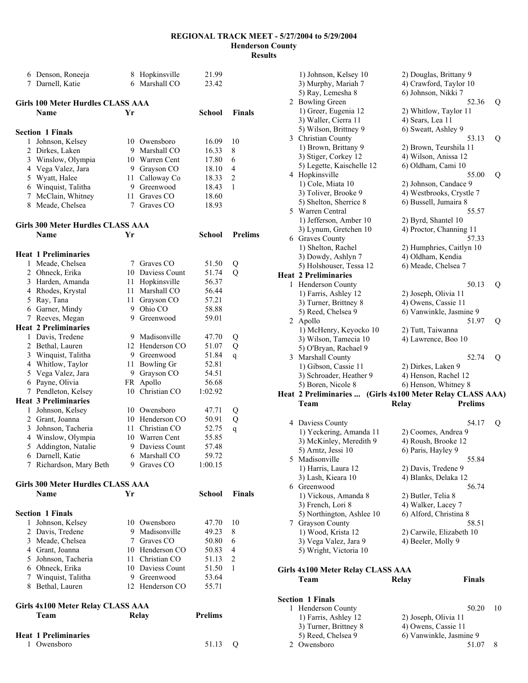|   | 6 Denson, Roneeja                          |          | 8 Hopkinsville                   | 21.99          |                |
|---|--------------------------------------------|----------|----------------------------------|----------------|----------------|
|   | 7 Darnell, Katie                           |          | 6 Marshall CO                    | 23.42          |                |
|   | <b>Girls 100 Meter Hurdles CLASS AAA</b>   |          |                                  |                |                |
|   | <b>Name</b>                                | Yr       |                                  | School         | <b>Finals</b>  |
|   |                                            |          |                                  |                |                |
| 1 | <b>Section 1 Finals</b><br>Johnson, Kelsey |          | 10 Owensboro                     | 16.09          | 10             |
|   | 2 Dirkes, Laken                            | 9        | Marshall CO                      | 16.33          | 8              |
|   | 3 Winslow, Olympia                         |          | 10 Warren Cent                   | 17.80          | 6              |
|   | 4 Vega Valez, Jara                         |          | 9 Grayson CO                     | 18.10          | 4              |
|   | 5 Wyatt, Halee                             | 11       | Calloway Co                      | 18.33          | 2              |
|   | 6 Winquist, Talitha                        |          | 9 Greenwood                      | 18.43          | 1              |
|   | 7 McClain, Whitney                         | 11       | Graves CO                        | 18.60          |                |
|   | 8 Meade, Chelsea                           | 7        | Graves CO                        | 18.93          |                |
|   | <b>Girls 300 Meter Hurdles CLASS AAA</b>   |          |                                  |                |                |
|   | <b>Name</b>                                | Yr       |                                  | School         | <b>Prelims</b> |
|   |                                            |          |                                  |                |                |
|   | <b>Heat 1 Preliminaries</b>                |          |                                  |                |                |
| 1 | Meade, Chelsea                             | 7        | Graves CO                        | 51.50          | Q              |
|   | 2 Ohneck, Erika                            |          | 10 Daviess Count<br>Hopkinsville | 51.74<br>56.37 | Q              |
|   | 3 Harden, Amanda                           | 11<br>11 | Marshall CO                      | 56.44          |                |
|   | 4 Rhodes, Krystal                          | 11       |                                  | 57.21          |                |
|   | 5 Ray, Tana<br>6 Garner, Mindy             | 9        | Grayson CO<br>Ohio CO            | 58.88          |                |
|   | 7 Reeves, Megan                            |          | 9 Greenwood                      | 59.01          |                |
|   | <b>Heat 2 Preliminaries</b>                |          |                                  |                |                |
|   | 1 Davis, Tredene                           |          | 9 Madisonville                   | 47.70          | Q              |
|   | 2 Bethal, Lauren                           |          | 12 Henderson CO                  | 51.07          | Q              |
|   | 3 Winquist, Talitha                        |          | 9 Greenwood                      | 51.84          | q              |
|   | 4 Whitlow, Taylor                          | 11       | <b>Bowling Gr</b>                | 52.81          |                |
|   | 5 Vega Valez, Jara                         | 9.       | Grayson CO                       | 54.51          |                |
|   | 6 Payne, Olivia                            | FR       | Apollo                           | 56.68          |                |
|   | 7 Pendleton, Kelsey                        | 10       | Christian CO                     | 1:02.92        |                |
|   | <b>Heat 3 Preliminaries</b>                |          |                                  |                |                |
|   | 1 Johnson, Kelsey                          |          | 10 Owensboro                     | 47.71          | Q              |
|   | 2 Grant, Joanna                            |          | 10 Henderson CO                  | 50.91          | Q              |
|   | 3 Johnson, Tacheria                        | 11       | Christian CO                     | 52.75          | q              |
|   | 4 Winslow, Olympia                         |          | 10 Warren Cent                   | 55.85          |                |
| 5 | Addington, Natalie                         | 9        | Daviess Count                    | 57.48          |                |
|   | 6 Darnell, Katie                           |          | 6 Marshall CO                    | 59.72          |                |
|   | 7 Richardson, Mary Beth                    |          | 9 Graves CO                      | 1:00.15        |                |
|   | <b>Girls 300 Meter Hurdles CLASS AAA</b>   |          |                                  |                |                |
|   | Name                                       | Yr       |                                  | School         | Finals         |
|   |                                            |          |                                  |                |                |
|   | <b>Section 1 Finals</b>                    |          |                                  |                |                |
| 1 | Johnson, Kelsey                            |          | 10 Owensboro                     | 47.70          | 10             |
|   | 2 Davis, Tredene                           |          | 9 Madisonville                   | 49.23          | 8              |
|   | 3 Meade, Chelsea                           |          | 7 Graves CO                      | 50.80          | 6              |
|   | 4 Grant, Joanna                            |          | 10 Henderson CO                  | 50.83          | 4              |
|   | 5 Johnson, Tacheria                        |          | 11 Christian CO                  | 51.13          | 2              |
|   | 6 Ohneck, Erika                            |          | 10 Daviess Count                 | 51.50          | 1              |
|   | 7 Winquist, Talitha                        |          | 9 Greenwood<br>12 Henderson CO   | 53.64          |                |
|   | 8 Bethal, Lauren                           |          |                                  | 55.71          |                |
|   | Girls 4x100 Meter Relay CLASS AAA          |          |                                  |                |                |
|   | Team                                       |          | Relay                            | <b>Prelims</b> |                |
|   | <b>Heat 1 Preliminaries</b>                |          |                                  |                |                |
| 1 | Owensboro                                  |          |                                  | 51.13          | O              |

|    | 1) Johnson, Kelsey 10                                     | 2) Douglas, Brittany 9           |    |
|----|-----------------------------------------------------------|----------------------------------|----|
|    |                                                           |                                  |    |
|    | 3) Murphy, Mariah 7                                       | 4) Crawford, Taylor 10           |    |
|    | 5) Ray, Lemesha 8                                         | 6) Johnson, Nikki 7              |    |
|    | 2 Bowling Green                                           | 52.36                            | Q  |
|    | 1) Greer, Eugenia 12                                      | 2) Whitlow, Taylor 11            |    |
|    | 3) Waller, Cierra 11                                      | 4) Sears, Lea 11                 |    |
|    | 5) Wilson, Brittney 9                                     | 6) Sweatt, Ashley 9              |    |
|    | 3 Christian County                                        | 53.13                            | Q  |
|    | 1) Brown, Brittany 9                                      | 2) Brown, Teurshila 11           |    |
|    |                                                           |                                  |    |
|    | 3) Stiger, Corkey 12                                      | 4) Wilson, Anissa 12             |    |
|    | 5) Legette, Kaischelle 12                                 | 6) Oldham, Cami 10               |    |
|    | 4 Hopkinsville                                            | 55.00                            | Q  |
|    | 1) Cole, Miata 10                                         | 2) Johnson, Candace 9            |    |
|    | 3) Toliver, Brooke 9                                      | 4) Westbrooks, Crystle 7         |    |
|    | 5) Shelton, Sherrice 8                                    | 6) Bussell, Jumaira 8            |    |
|    | 5 Warren Central                                          | 55.57                            |    |
|    | 1) Jefferson, Amber 10                                    | 2) Byrd, Shantel 10              |    |
|    |                                                           |                                  |    |
|    | 3) Lynum, Gretchen 10                                     | 4) Proctor, Channing 11          |    |
|    | 6 Graves County                                           | 57.33                            |    |
|    | 1) Shelton, Rachel                                        | 2) Humphries, Caitlyn 10         |    |
|    | 3) Dowdy, Ashlyn 7                                        | 4) Oldham, Kendia                |    |
|    | 5) Holshouser, Tessa 12                                   | 6) Meade, Chelsea 7              |    |
|    | <b>Heat 2 Preliminaries</b>                               |                                  |    |
|    | 1 Henderson County                                        | 50.13                            | Q  |
|    | 1) Farris, Ashley 12                                      | 2) Joseph, Olivia 11             |    |
|    |                                                           |                                  |    |
|    | 3) Turner, Brittney 8                                     | 4) Owens, Cassie 11              |    |
|    | 5) Reed, Chelsea 9                                        | 6) Vanwinkle, Jasmine 9          |    |
|    | 2 Apollo                                                  | 51.97                            | Q  |
|    | 1) McHenry, Keyocko 10                                    | 2) Tutt, Taiwanna                |    |
|    | 3) Wilson, Tamecia 10                                     | 4) Lawrence, Boo 10              |    |
|    | 5) O'Bryan, Rachael 9                                     |                                  |    |
|    | 3 Marshall County                                         | 52.74                            | Q  |
|    |                                                           |                                  |    |
|    |                                                           |                                  |    |
|    | 1) Gibson, Cassie 11                                      | 2) Dirkes, Laken 9               |    |
|    | 3) Schroader, Heather 9                                   | 4) Henson, Rachel 12             |    |
|    | 5) Boren, Nicole 8                                        | 6) Henson, Whitney 8             |    |
|    | Heat 2 Preliminaries  (Girls 4x100 Meter Relay CLASS AAA) |                                  |    |
|    | Team                                                      | <b>Prelims</b><br>Relay          |    |
|    |                                                           |                                  |    |
|    |                                                           |                                  |    |
|    | 4 Daviess County                                          | 54.17                            | Q  |
|    | 1) Yeckering, Amanda 11                                   | 2) Coomes, Andrea 9              |    |
|    | 3) McKinley, Meredith 9                                   | 4) Roush, Brooke 12              |    |
|    | 5) Arntz, Jessi 10                                        | 6) Paris, Hayley 9               |    |
|    | 5 Madisonville                                            | 55.84                            |    |
|    | 1) Harris, Laura 12                                       | 2) Davis, Tredene 9              |    |
|    | 3) Lash, Kieara 10                                        | 4) Blanks, Delaka 12             |    |
|    | 6 Greenwood                                               | 56.74                            |    |
|    |                                                           |                                  |    |
|    | 1) Vickous, Amanda 8                                      | 2) Butler, Telia 8               |    |
|    | 3) French, Lori 8                                         | 4) Walker, Lacey 7               |    |
|    | 5) Northington, Ashlee 10                                 | 6) Alford, Christina 8           |    |
|    | 7 Grayson County                                          | 58.51                            |    |
|    | 1) Wood, Krista 12                                        | 2) Carwile, Elizabeth 10         |    |
|    | 3) Vega Valez, Jara 9                                     | 4) Beeler, Molly 9               |    |
|    | 5) Wright, Victoria 10                                    |                                  |    |
|    |                                                           |                                  |    |
|    |                                                           |                                  |    |
|    | Girls 4x100 Meter Relay CLASS AAA                         |                                  |    |
|    | Team                                                      | <b>Finals</b><br>Relay           |    |
|    |                                                           |                                  |    |
|    | <b>Section 1 Finals</b>                                   |                                  |    |
| 1. | Henderson County                                          | 50.20                            | 10 |
|    | 1) Farris, Ashley 12                                      | 2) Joseph, Olivia 11             |    |
|    |                                                           |                                  |    |
|    | 3) Turner, Brittney 8                                     | 4) Owens, Cassie 11              |    |
| 2  | 5) Reed, Chelsea 9<br>Owensboro                           | 6) Vanwinkle, Jasmine 9<br>51.07 | 8  |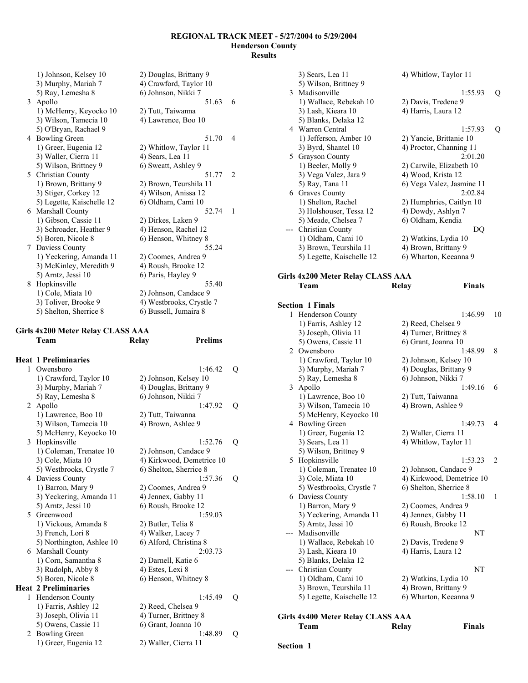|   | 1) Johnson, Kelsey 10     | 2) Douglas, Brittany 9   |                |
|---|---------------------------|--------------------------|----------------|
|   | 3) Murphy, Mariah 7       | 4) Crawford, Taylor 10   |                |
|   | 5) Ray, Lemesha 8         | 6) Johnson, Nikki 7      |                |
|   | 3 Apollo                  | 51.63                    | 6              |
|   | 1) McHenry, Keyocko 10    | 2) Tutt, Taiwanna        |                |
|   | 3) Wilson, Tamecia 10     | 4) Lawrence, Boo 10      |                |
|   | 5) O'Bryan, Rachael 9     |                          |                |
| 4 | <b>Bowling Green</b>      | 51.70                    | 4              |
|   | 1) Greer, Eugenia 12      | 2) Whitlow, Taylor 11    |                |
|   | 3) Waller, Cierra 11      | 4) Sears, Lea 11         |                |
|   | 5) Wilson, Brittney 9     | 6) Sweatt, Ashley 9      |                |
|   | 5 Christian County        | 51.77                    | $\mathfrak{D}$ |
|   | 1) Brown, Brittany 9      | 2) Brown, Teurshila 11   |                |
|   | 3) Stiger, Corkey 12      | 4) Wilson, Anissa 12     |                |
|   | 5) Legette, Kaischelle 12 | 6) Oldham, Cami 10       |                |
|   | 6 Marshall County         | 52.74                    | 1              |
|   | 1) Gibson, Cassie 11      | 2) Dirkes, Laken 9       |                |
|   | 3) Schroader, Heather 9   | 4) Henson, Rachel 12     |                |
|   | 5) Boren, Nicole 8        | 6) Henson, Whitney 8     |                |
| 7 | Daviess County            | 55.24                    |                |
|   | 1) Yeckering, Amanda 11   | 2) Coomes, Andrea 9      |                |
|   | 3) McKinley, Meredith 9   | 4) Roush, Brooke 12      |                |
|   | 5) Arntz, Jessi 10        | 6) Paris, Hayley 9       |                |
| 8 | Hopkinsville              | 55.40                    |                |
|   | 1) Cole, Miata 10         | 2) Johnson, Candace 9    |                |
|   | 3) Toliver, Brooke 9      | 4) Westbrooks, Crystle 7 |                |
|   | 5) Shelton, Sherrice 8    | 6) Bussell, Jumaira 8    |                |

# **Girls 4x200 Meter Relay CLASS AAA Team Relay Prelims**

|              | <b>Heat 1 Preliminaries</b> |                           |   |
|--------------|-----------------------------|---------------------------|---|
| $\mathbf{1}$ | Owensboro                   | 1:46.42                   | Q |
|              | 1) Crawford, Taylor 10      | 2) Johnson, Kelsey 10     |   |
|              |                             | 4) Douglas, Brittany 9    |   |
|              | 3) Murphy, Mariah 7         | 6) Johnson, Nikki 7       |   |
|              | 5) Ray, Lemesha 8           | 1:47.92                   |   |
| 2            | Apollo                      |                           | Q |
|              | 1) Lawrence, Boo 10         | 2) Tutt, Taiwanna         |   |
|              | 3) Wilson, Tamecia 10       | 4) Brown, Ashlee 9        |   |
|              | 5) McHenry, Keyocko 10      | 1:52.76                   |   |
| 3            | Hopkinsville                |                           | Q |
|              | 1) Coleman, Trenatee 10     | 2) Johnson, Candace 9     |   |
|              | 3) Cole, Miata 10           | 4) Kirkwood, Demetrice 10 |   |
|              | 5) Westbrooks, Crystle 7    | 6) Shelton, Sherrice 8    |   |
|              | 4 Daviess County            | 1:57.36                   | Q |
|              | 1) Barron, Mary 9           | 2) Coomes, Andrea 9       |   |
|              | 3) Yeckering, Amanda 11     | 4) Jennex, Gabby 11       |   |
|              | 5) Arntz, Jessi 10          | 6) Roush, Brooke 12       |   |
|              | 5 Greenwood                 | 1:59.03                   |   |
|              | 1) Vickous, Amanda 8        | 2) Butler, Telia 8        |   |
|              | 3) French, Lori 8           | 4) Walker, Lacey 7        |   |
|              | 5) Northington, Ashlee 10   | 6) Alford, Christina 8    |   |
| 6            | <b>Marshall County</b>      | 2:03.73                   |   |
|              | 1) Corn, Samantha 8         | 2) Darnell, Katie 6       |   |
|              | 3) Rudolph, Abby 8          | 4) Estes, Lexi 8          |   |
|              | 5) Boren, Nicole 8          | 6) Henson, Whitney 8      |   |
|              | <b>Heat 2 Preliminaries</b> |                           |   |
| 1            | <b>Henderson County</b>     | 1:45.49                   | Q |
|              | 1) Farris, Ashley 12        | 2) Reed, Chelsea 9        |   |
|              | 3) Joseph, Olivia 11        | 4) Turner, Brittney 8     |   |
|              | 5) Owens, Cassie 11         | 6) Grant, Joanna 10       |   |
| 2            | <b>Bowling Green</b>        | 1:48.89                   | Q |
|              | 1) Greer, Eugenia 12        | 2) Waller, Cierra 11      |   |

|     | 3) Sears, Lea 11                  | 4) Whitlow, Taylor 11         |    |
|-----|-----------------------------------|-------------------------------|----|
|     | 5) Wilson, Brittney 9             |                               |    |
|     | 3 Madisonville                    | 1:55.93                       | Q  |
|     | 1) Wallace, Rebekah 10            | 2) Davis, Tredene 9           |    |
|     | 3) Lash, Kieara 10                | 4) Harris, Laura 12           |    |
|     | 5) Blanks, Delaka 12              |                               |    |
|     | 4 Warren Central                  | 1:57.93                       | Q  |
|     | 1) Jefferson, Amber 10            | 2) Yancie, Brittanie 10       |    |
|     | 3) Byrd, Shantel 10               | 4) Proctor, Channing 11       |    |
|     | 5 Grayson County                  | 2:01.20                       |    |
|     | 1) Beeler, Molly 9                | 2) Carwile, Elizabeth 10      |    |
|     | 3) Vega Valez, Jara 9             | 4) Wood, Krista 12            |    |
|     |                                   | 6) Vega Valez, Jasmine 11     |    |
|     | 5) Ray, Tana 11                   | 2:02.84                       |    |
|     | 6 Graves County                   |                               |    |
|     | 1) Shelton, Rachel                | 2) Humphries, Caitlyn 10      |    |
|     | 3) Holshouser, Tessa 12           | 4) Dowdy, Ashlyn 7            |    |
|     | 5) Meade, Chelsea 7               | 6) Oldham, Kendia             |    |
|     | --- Christian County              | DQ                            |    |
|     | 1) Oldham, Cami 10                | 2) Watkins, Lydia 10          |    |
|     | 3) Brown, Teurshila 11            | 4) Brown, Brittany 9          |    |
|     | 5) Legette, Kaischelle 12         | 6) Wharton, Keeanna 9         |    |
|     |                                   |                               |    |
|     | Girls 4x200 Meter Relay CLASS AAA |                               |    |
|     | Team                              | <b>Finals</b><br><b>Relay</b> |    |
|     |                                   |                               |    |
|     | <b>Section 1 Finals</b>           |                               |    |
|     |                                   | 1:46.99                       |    |
| 1   | Henderson County                  |                               | 10 |
|     | 1) Farris, Ashley 12              | 2) Reed, Chelsea 9            |    |
|     | 3) Joseph, Olivia 11              | 4) Turner, Brittney 8         |    |
|     | 5) Owens, Cassie 11               | 6) Grant, Joanna 10           |    |
|     | 2 Owensboro                       | 1:48.99                       | 8  |
|     | 1) Crawford, Taylor 10            | 2) Johnson, Kelsey 10         |    |
|     | 3) Murphy, Mariah 7               | 4) Douglas, Brittany 9        |    |
|     | 5) Ray, Lemesha 8                 | 6) Johnson, Nikki 7           |    |
|     | 3 Apollo                          | 1:49.16                       | 6  |
|     | 1) Lawrence, Boo 10               | 2) Tutt, Taiwanna             |    |
|     | 3) Wilson, Tamecia 10             | 4) Brown, Ashlee 9            |    |
|     | 5) McHenry, Keyocko 10            |                               |    |
|     | 4 Bowling Green                   | 1:49.73                       | 4  |
|     | 1) Greer, Eugenia 12              | 2) Waller, Cierra 11          |    |
|     | 3) Sears, Lea 11                  | 4) Whitlow, Taylor 11         |    |
|     | 5) Wilson, Brittney 9             |                               |    |
| 5   | Hopkinsville                      | 1:53.23                       | 2  |
|     | 1) Coleman, Trenatee 10           | 2) Johnson, Candace 9         |    |
|     | 3) Cole, Miata 10                 | 4) Kirkwood, Demetrice 10     |    |
|     | 5) Westbrooks, Crystle 7          | 6) Shelton, Sherrice 8        |    |
|     | 6 Daviess County                  | 1:58.10                       | 1  |
|     | 1) Barron, Mary 9                 | 2) Coomes, Andrea 9           |    |
|     | 3) Yeckering, Amanda 11           | 4) Jennex, Gabby 11           |    |
|     |                                   |                               |    |
|     | 5) Arntz, Jessi 10                | 6) Roush, Brooke 12           |    |
| --- | Madisonville                      | NΤ                            |    |
|     | 1) Wallace, Rebekah 10            | 2) Davis, Tredene 9           |    |
|     | 3) Lash, Kieara 10                | 4) Harris, Laura 12           |    |
|     | 5) Blanks, Delaka 12              |                               |    |
| --- | Christian County                  | NT                            |    |
|     | 1) Oldham, Cami 10                | 2) Watkins, Lydia 10          |    |
|     | 3) Brown, Teurshila 11            | 4) Brown, Brittany 9          |    |
|     | 5) Legette, Kaischelle 12         | 6) Wharton, Keeanna 9         |    |

# **Girls 4x400 Meter Relay CLASS AAA**

| Team | Relay | <b>Finals</b> |
|------|-------|---------------|
|      |       |               |

**Section 1**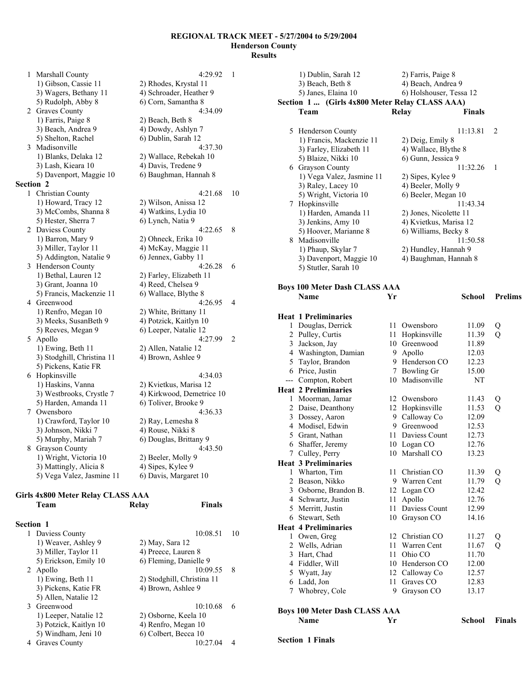1 Marshall County 4:29.92 1 1) Gibson, Cassie 11 2) Rhodes, Krystal 11 3) Wagers, Bethany 11 4) Schroader, Heather 9 5) Rudolph, Abby 8 6) Corn, Samantha 8 2 Graves County 4:34.09 1) Farris, Paige 8 2) Beach, Beth 8 3) Beach, Andrea 9 4) Dowdy, Ashlyn 7 5) Shelton, Rachel 6) Dublin, Sarah 12 3 Madisonville 4:37.30 1) Blanks, Delaka 12 2) Wallace, Rebekah 10 3) Lash, Kieara 10 4) Davis, Tredene 9 5) Davenport, Maggie 10 6) Baughman, Hannah 8 **Section 2**  1 Christian County 4:21.68 10 1) Howard, Tracy 12 2) Wilson, Anissa 12 3) McCombs, Shanna 8 4) Watkins, Lydia 10 5) Hester, Sherra 7 6) Lynch, Natia 9 2 Daviess County 4:22.65 8 1) Barron, Mary 9 2) Ohneck, Erika 10 3) Miller, Taylor 11 4) McKay, Maggie 11 5) Addington, Natalie 9 6) Jennex, Gabby 11 3 Henderson County 4:26.28 6 1) Bethal, Lauren 12 2) Farley, Elizabeth 11 3) Grant, Joanna 10 4) Reed, Chelsea 9 5) Francis, Mackenzie 11 6) Wallace, Blythe 8 4 Greenwood 4:26.95 4 1) Renfro, Megan 10 2) White, Brittany 11 3) Meeks, SusanBeth 9 4) Potzick, Kaitlyn 10 5) Reeves, Megan 9 6) Leeper, Natalie 12 5 Apollo 4:27.99 2 1) Ewing, Beth 11 2) Allen, Natalie 12 3) Stodghill, Christina 11 4) Brown, Ashlee 9 5) Pickens, Katie FR 6 Hopkinsville 4:34.03 1) Haskins, Vanna 2) Kvietkus, Marisa 12 3) Westbrooks, Crystle 7 4) Kirkwood, Demetrice 10 5) Harden, Amanda 11 6) Toliver, Brooke 9 7 Owensboro 4:36.33 1) Crawford, Taylor 10 2) Ray, Lemesha 8 3) Johnson, Nikki 7 4) Rouse, Nikki 8 5) Murphy, Mariah 7 6) Douglas, Brittany 9<br>Grayson County 4:43.50 8 Grayson County<br>
1) Wright, Victoria 10 2) Beeler, Molly 9 1) Wright, Victoria 10 3) Mattingly, Alicia 8 4) Sipes, Kylee 9

#### **Girls 4x800 Meter Relay CLASS AAA**

| <b>Section 1</b> |                        |                            |    |
|------------------|------------------------|----------------------------|----|
|                  | 1 Daviess County       | 10:08.51                   | 10 |
|                  | 1) Weaver, Ashley 9    | 2) May, Sara 12            |    |
|                  | 3) Miller, Taylor 11   | 4) Preece, Lauren 8        |    |
|                  | 5) Erickson, Emily 10  | 6) Fleming, Danielle 9     |    |
|                  | 2 Apollo               | 10:09.55                   | -8 |
|                  | 1) Ewing, Beth 11      | 2) Stodghill, Christina 11 |    |
|                  | 3) Pickens, Katie FR   | 4) Brown, Ashlee 9         |    |
|                  | 5) Allen, Natalie 12   |                            |    |
|                  | 3 Greenwood            | 10:10.68                   | 6  |
|                  | 1) Leeper, Natalie 12  | 2) Osborne, Keela 10       |    |
|                  | 3) Potzick, Kaitlyn 10 | 4) Renfro, Megan 10        |    |
|                  | 5) Windham, Jeni 10    | 6) Colbert, Becca 10       |    |
| 4                | Graves County          | 10:27.04                   |    |
|                  |                        |                            |    |

5) Vega Valez, Jasmine 11 6) Davis, Margaret 10

**Team Relay Finals** 

|   | 1) Dublin, Sarah 12                            |      | 2) Farris, Paige 8                             |                      |                |
|---|------------------------------------------------|------|------------------------------------------------|----------------------|----------------|
|   | 3) Beach, Beth 8                               |      | 4) Beach, Andrea 9                             |                      |                |
|   | 5) Janes, Elaina 10                            |      | 6) Holshouser, Tessa 12                        |                      |                |
|   | Section 1  (Girls 4x800 Meter Relay CLASS AAA) |      |                                                |                      |                |
|   | Team                                           |      | <b>Relay</b>                                   | <b>Finals</b>        |                |
|   | 5 Henderson County                             |      |                                                | 11:13.81             | 2              |
|   | 1) Francis, Mackenzie 11                       |      | 2) Deig, Emily 8                               |                      |                |
|   | 3) Farley, Elizabeth 11                        |      | 4) Wallace, Blythe 8                           |                      |                |
|   | 5) Blaize, Nikki 10                            |      | 6) Gunn, Jessica 9                             |                      |                |
|   | 6 Grayson County                               |      |                                                | 11:32.26             | 1              |
|   | 1) Vega Valez, Jasmine 11                      |      | 2) Sipes, Kylee 9                              |                      |                |
|   | 3) Raley, Lacey 10                             |      | 4) Beeler, Molly 9                             |                      |                |
|   | 5) Wright, Victoria 10                         |      | 6) Beeler, Megan 10                            |                      |                |
|   | 7 Hopkinsville                                 |      |                                                | 11:43.34             |                |
|   | 1) Harden, Amanda 11                           |      | 2) Jones, Nicolette 11                         |                      |                |
|   | 3) Jenkins, Amy 10<br>5) Hoover, Marianne 8    |      | 4) Kvietkus, Marisa 12<br>6) Williams, Becky 8 |                      |                |
|   | 8 Madisonville                                 |      |                                                | 11:50.58             |                |
|   | 1) Phaup, Skylar 7                             |      | 2) Hundley, Hannah 9                           |                      |                |
|   | 3) Davenport, Maggie 10                        |      | 4) Baughman, Hannah 8                          |                      |                |
|   | 5) Stutler, Sarah 10                           |      |                                                |                      |                |
|   | <b>Boys 100 Meter Dash CLASS AAA</b>           |      |                                                |                      |                |
|   | Name                                           | Yr   |                                                | <b>School</b>        | <b>Prelims</b> |
|   |                                                |      |                                                |                      |                |
|   | <b>Heat 1 Preliminaries</b>                    |      |                                                |                      |                |
|   | 1 Douglas, Derrick                             |      | 11 Owensboro                                   | 11.09                | Q              |
|   | 2 Pulley, Curtis                               | 11-  | Hopkinsville                                   | 11.39                | Q              |
|   | 3 Jackson, Jay                                 |      | 10 Greenwood                                   | 11.89                |                |
|   | 4 Washington, Damian                           | 9.   | Apollo<br>9 Henderson CO                       | 12.03                |                |
|   | 5 Taylor, Brandon<br>6 Price, Justin           |      | 7 Bowling Gr                                   | 12.23<br>15.00       |                |
|   | --- Compton, Robert                            |      | 10 Madisonville                                | NT                   |                |
|   | <b>Heat 2 Preliminaries</b>                    |      |                                                |                      |                |
|   | 1 Moorman, Jamar                               |      | 12 Owensboro                                   | 11.43                | Q              |
|   | 2 Daise, Deanthony                             |      | 12 Hopkinsville                                | 11.53                | Q              |
|   | 3 Dossey, Aaron                                |      | 9 Calloway Co                                  | 12.09                |                |
|   | 4 Modisel, Edwin                               | 9.   | Greenwood                                      | 12.53                |                |
|   | 5 Grant, Nathan                                | 11   | Daviess Count                                  | 12.73                |                |
|   | 6 Shaffer, Jeremy                              | 10   | Logan CO                                       | 12.76                |                |
| 7 | Culley, Perry                                  | 10   | Marshall CO                                    | 13.23                |                |
|   | <b>Heat 3 Preliminaries</b>                    |      |                                                |                      |                |
|   | 1 Wharton, Tim                                 | 11 - | Christian CO                                   | 11.39                | Q              |
|   | 2 Beason, Nikko                                |      | 9 Warren Cent                                  | 11.79                | Q              |
|   | 3 Osborne, Brandon B.                          |      | 12 Logan CO                                    | 12.42                |                |
|   | 4 Schwartz, Justin                             | 11   | Apollo                                         | 12.76                |                |
|   | 5 Merritt, Justin                              | 11   | Daviess Count                                  | 12.99                |                |
|   | 6 Stewart, Seth                                |      | 10 Grayson CO                                  | 14.16                |                |
|   | <b>Heat 4 Preliminaries</b>                    |      |                                                |                      |                |
|   | 1 Owen, Greg                                   |      | 12 Christian CO                                | 11.27                | Q              |
|   | 2 Wells, Adrian                                | 11   | Warren Cent                                    | 11.67                | Q              |
|   | 3 Hart, Chad                                   | 11   | Ohio CO                                        | 11.70                |                |
|   | 4 Fiddler, Will                                |      | 10 Henderson CO<br>12 Calloway Co              | 12.00<br>12.57       |                |
|   | 5 Wyatt, Jay<br>6 Ladd, Jon                    | 11   | Graves CO                                      | 12.83                |                |
|   | 7 Whobrey, Cole                                |      | 9 Grayson CO                                   | 13.17                |                |
|   |                                                |      |                                                |                      |                |
|   | <b>Boys 100 Meter Dash CLASS AAA</b>           |      |                                                |                      |                |
|   | <b>Name</b>                                    | Yr   |                                                | <b>School</b> Finals |                |

#### **Section 1 Finals**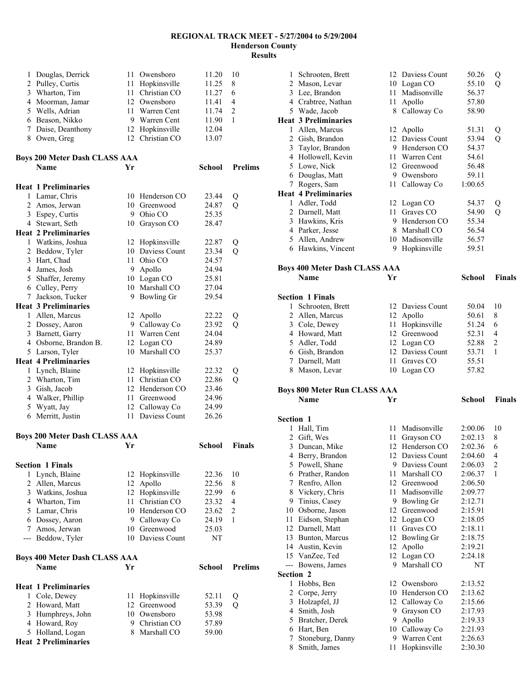| 1                   | Douglas, Derrick                     | 11 - | Owensboro                       | 11.20          | 10                  |
|---------------------|--------------------------------------|------|---------------------------------|----------------|---------------------|
| $\overline{2}$      | Pulley, Curtis                       |      | 11 Hopkinsville                 | 11.25          | 8                   |
|                     | 3 Wharton, Tim                       | 11 - | Christian CO                    | 11.27          | 6                   |
|                     | 4 Moorman, Jamar                     |      | 12 Owensboro                    | 11.41          | 4                   |
|                     | 5 Wells, Adrian                      |      | 11 Warren Cent                  | 11.74          | $\overline{c}$      |
|                     | 6 Beason, Nikko                      |      | 9 Warren Cent                   | 11.90          | 1                   |
| 7                   | Daise, Deanthony                     |      | 12 Hopkinsville                 | 12.04          |                     |
|                     | 8 Owen, Greg                         |      | 12 Christian CO                 | 13.07          |                     |
|                     |                                      |      |                                 |                |                     |
|                     | <b>Boys 200 Meter Dash CLASS AAA</b> |      |                                 |                |                     |
|                     | Name                                 | Yr   |                                 | <b>School</b>  | <b>Prelims</b>      |
|                     | <b>Heat 1 Preliminaries</b>          |      |                                 |                |                     |
| 1                   | Lamar, Chris                         |      | 10 Henderson CO                 | 23.44          | Q                   |
| $\overline{2}$      | Amos, Jerwan                         |      | 10 Greenwood                    | 24.87          | Q                   |
|                     | 3 Espey, Curtis                      | 9    | Ohio CO                         | 25.35          |                     |
|                     | 4 Stewart, Seth                      | 10   | Grayson CO                      | 28.47          |                     |
|                     | <b>Heat 2 Preliminaries</b>          |      |                                 |                |                     |
|                     | 1 Watkins, Joshua                    |      | 12 Hopkinsville                 | 22.87          | Q                   |
| $\overline{c}$      | Beddow, Tyler                        |      | 10 Daviess Count                | 23.34          | Q                   |
| 3                   | Hart, Chad                           |      | 11 Ohio CO                      | 24.57          |                     |
|                     | 4 James, Josh                        |      | 9 Apollo                        | 24.94          |                     |
|                     | 5 Shaffer, Jeremy                    |      | 10 Logan CO                     | 25.81          |                     |
|                     | 6 Culley, Perry                      |      | 10 Marshall CO                  | 27.04          |                     |
| 7                   | Jackson, Tucker                      |      | 9 Bowling Gr                    | 29.54          |                     |
|                     | <b>Heat 3 Preliminaries</b>          |      |                                 |                |                     |
| 1                   | Allen, Marcus                        |      | 12 Apollo                       | 22.22          | Q                   |
|                     | 2 Dossey, Aaron                      |      | 9 Calloway Co                   | 23.92          | $\overline{Q}$      |
|                     | 3 Barnett, Garry                     |      | 11 Warren Cent                  | 24.04          |                     |
|                     | 4 Osborne, Brandon B.                |      | 12 Logan CO                     | 24.89          |                     |
|                     | 5 Larson, Tyler                      |      | 10 Marshall CO                  | 25.37          |                     |
|                     | <b>Heat 4 Preliminaries</b>          |      |                                 |                |                     |
|                     | 1 Lynch, Blaine                      |      | 12 Hopkinsville                 | 22.32          | Q                   |
| $\overline{c}$      | Wharton, Tim                         | 11   | Christian CO                    | 22.86          | Q                   |
| 3                   | Gish, Jacob                          |      | 12 Henderson CO                 | 23.46          |                     |
|                     | 4 Walker, Phillip                    | 11 - | Greenwood                       | 24.96          |                     |
| 5                   | Wyatt, Jay                           |      | 12 Calloway Co                  | 24.99          |                     |
|                     | 6 Merritt, Justin                    | 11   | Daviess Count                   | 26.26          |                     |
|                     | <b>Boys 200 Meter Dash CLASS AAA</b> |      |                                 |                |                     |
|                     | <b>Name</b>                          | Yr   |                                 | School         | <b>Finals</b>       |
|                     |                                      |      |                                 |                |                     |
|                     | <b>Section 1 Finals</b>              |      |                                 |                |                     |
| 1                   | Lynch, Blaine                        |      | 12 Hopkinsville                 | 22.36          | 10                  |
| $\overline{c}$      | Allen, Marcus                        |      | 12 Apollo                       | 22.56          | 8                   |
| $\mathfrak{Z}$      | Watkins, Joshua                      | 12   | Hopkinsville                    | 22.99          | 6                   |
|                     | 4 Wharton, Tim                       | 11 - | Christian CO<br>10 Henderson CO | 23.32          | 4                   |
|                     | 5 Lamar, Chris<br>6 Dossey, Aaron    |      | 9 Calloway Co                   | 23.62          | $\overline{c}$<br>1 |
|                     | 7 Amos, Jerwan                       |      | 10 Greenwood                    | 24.19          |                     |
|                     |                                      |      | 10 Daviess Count                | 25.03          |                     |
| $---$               | Beddow, Tyler                        |      |                                 | NT             |                     |
|                     | <b>Boys 400 Meter Dash CLASS AAA</b> |      |                                 |                |                     |
|                     | Name                                 | Yr   |                                 | <b>School</b>  | <b>Prelims</b>      |
|                     |                                      |      |                                 |                |                     |
|                     | <b>Heat 1 Preliminaries</b>          |      |                                 |                |                     |
| 1                   | Cole, Dewey                          | 11   | Hopkinsville                    | 52.11          | Q                   |
| $\overline{2}$<br>3 | Howard, Matt                         | 12   | Greenwood<br>10 Owensboro       | 53.39          | Q                   |
| 4                   | Humphreys, John                      |      | 9 Christian CO                  | 53.98<br>57.89 |                     |
| 5                   | Howard, Roy<br>Holland, Logan        |      | 8 Marshall CO                   | 59.00          |                     |
|                     |                                      |      |                                 |                |                     |

**Heat 2 Preliminaries** 

| 1         | Schrooten, Brett                     |         | 12 Daviess Count           | 50.26              | Q              |
|-----------|--------------------------------------|---------|----------------------------|--------------------|----------------|
|           | 2 Mason, Levar                       |         | 10 Logan CO                | 55.10              | Q              |
|           | 3 Lee, Brandon                       | 11      | Madisonville               | 56.37              |                |
|           | 4 Crabtree, Nathan                   | 11      | Apollo                     | 57.80              |                |
|           | 5 Wade, Jacob                        |         | 8 Calloway Co              | 58.90              |                |
|           | <b>Heat 3 Preliminaries</b>          |         |                            |                    |                |
|           | 1 Allen, Marcus                      | 12      | Apollo                     | 51.31              | Q              |
|           | 2 Gish, Brandon                      |         | 12 Daviess Count           | 53.94              | Q              |
|           | 3 Taylor, Brandon                    |         | 9 Henderson CO             | 54.37              |                |
|           | 4 Hollowell, Kevin                   | 11 -    | Warren Cent                | 54.61              |                |
|           | 5 Lowe, Nick                         |         | 12 Greenwood               | 56.48              |                |
|           | 6 Douglas, Matt                      |         | 9 Owensboro                | 59.11              |                |
|           | 7 Rogers, Sam                        | 11      | Calloway Co                | 1:00.65            |                |
|           | <b>Heat 4 Preliminaries</b>          |         |                            |                    |                |
|           | 1 Adler, Todd                        |         | 12 Logan CO                | 54.37              | Q              |
|           | 2 Darnell, Matt                      | 11      | Graves CO                  | 54.90              | Q              |
|           | 3 Hawkins, Kris                      |         | 9 Henderson CO             | 55.34              |                |
|           | 4 Parker, Jesse                      |         | 8 Marshall CO              | 56.54              |                |
|           | 5 Allen, Andrew                      |         | 10 Madisonville            | 56.57              |                |
|           | 6 Hawkins, Vincent                   | 9       |                            | 59.51              |                |
|           |                                      |         | Hopkinsville               |                    |                |
|           |                                      |         |                            |                    |                |
|           | <b>Boys 400 Meter Dash CLASS AAA</b> |         |                            |                    |                |
|           | <b>Name</b>                          | Yr      |                            | <b>School</b>      | Finals         |
|           |                                      |         |                            |                    |                |
|           | <b>Section 1 Finals</b>              |         |                            |                    |                |
|           | 1 Schrooten, Brett                   |         | 12 Daviess Count           | 50.04              | 10             |
|           | 2 Allen, Marcus                      | 12      | Apollo                     | 50.61              | 8              |
|           | 3 Cole, Dewey                        | 11      | Hopkinsville               | 51.24              | 6              |
|           | 4 Howard, Matt                       |         | 12 Greenwood               | 52.31              | 4              |
|           | 5 Adler, Todd                        |         | 12 Logan CO                | 52.88              | $\overline{c}$ |
|           |                                      |         | 12 Daviess Count           | 53.71              | 1              |
|           | 6 Gish, Brandon                      |         |                            |                    |                |
|           | 7 Darnell, Matt                      | 11      | Graves CO                  | 55.51              |                |
|           | 8 Mason, Levar                       |         | 10 Logan CO                | 57.82              |                |
|           |                                      |         |                            |                    |                |
|           |                                      |         |                            |                    |                |
|           | <b>Boys 800 Meter Run CLASS AAA</b>  |         |                            |                    |                |
|           | Name                                 | Yr      |                            | School             | <b>Finals</b>  |
|           |                                      |         |                            |                    |                |
| Section 1 |                                      |         |                            |                    |                |
| 1         | Hall, Tim                            |         | 11 Madisonville            | 2:00.06            | 10             |
|           | 2 Gift, Wes                          | 11 -    | Grayson CO                 | 2:02.13            | 8              |
| 3         | Duncan, Mike                         |         | 12 Henderson CO            | 2:02.36            | 6              |
|           | 4 Berry, Brandon                     |         | 12 Daviess Count           | 2:04.60            | 4              |
|           | 5 Powell, Shane                      |         | 9 Daviess Count            | 2:06.03            | 2              |
|           | 6 Prather, Randon                    | 11      | Marshall CO                | 2:06.37            | 1              |
| 7         | Renfro, Allon                        |         | 12 Greenwood               | 2:06.50            |                |
| 8         | Vickery, Chris                       | 11      | Madisonville               | 2:09.77            |                |
| 9.        | Tinius, Casey                        |         | 9 Bowling Gr               | 2:12.71            |                |
|           | 10 Osborne, Jason                    |         | 12 Greenwood               | 2:15.91            |                |
| 11        | Eidson, Stephan                      |         | 12 Logan CO                | 2:18.05            |                |
|           | 12 Darnell, Matt                     | 11      | Graves CO                  | 2:18.11            |                |
|           | 13 Bunton, Marcus                    | 12      | <b>Bowling Gr</b>          | 2:18.75            |                |
|           | 14 Austin, Kevin                     | 12      | Apollo                     | 2:19.21            |                |
|           | 15 VanZee, Ted                       |         | 12 Logan CO                | 2:24.18            |                |
| ---       | Bowens, James                        | 9       | Marshall CO                | NΤ                 |                |
| Section 2 |                                      |         |                            |                    |                |
| 1         | Hobbs, Ben                           |         | 12 Owensboro               | 2:13.52            |                |
| 2         | Corpe, Jerry                         |         | 10 Henderson CO            | 2:13.62            |                |
| 3         | Holzapfel, JJ                        | 12      | Calloway Co                | 2:15.66            |                |
| 4         | Smith, Josh                          | 9.      | Grayson CO                 | 2:17.93            |                |
|           | 5 Bratcher, Derek                    | 9       | Apollo                     | 2:19.33            |                |
| 6         | Hart, Ben<br>Stoneburg, Danny        | 10<br>9 | Calloway Co<br>Warren Cent | 2:21.93<br>2:26.63 |                |

Smith, James 11 Hopkinsville 2:30.30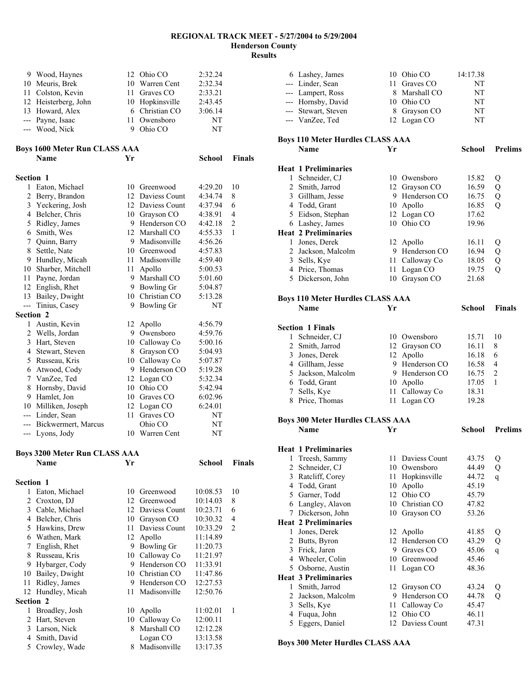|                  | 9 Wood, Haynes                       |    | 12 Ohio CO                 | 2:32.24            |                |
|------------------|--------------------------------------|----|----------------------------|--------------------|----------------|
|                  | 10 Meuris, Brek                      |    | 10 Warren Cent             | 2:32.34            |                |
|                  | 11 Colston, Kevin                    |    | 11 Graves CO               | 2:33.21            |                |
|                  | 12 Heisterberg, John                 |    | 10 Hopkinsville            | 2:43.45            |                |
|                  | 13 Howard, Alex                      |    | 6 Christian CO             | 3:06.14            |                |
|                  | --- Payne, Isaac                     | 11 | Owensboro                  | NT                 |                |
|                  | --- Wood, Nick                       |    | 9 Ohio CO                  | NT                 |                |
|                  |                                      |    |                            |                    |                |
|                  | <b>Boys 1600 Meter Run CLASS AAA</b> |    |                            |                    |                |
|                  | Name                                 | Yr |                            | <b>School</b>      | <b>Finals</b>  |
| Section 1        |                                      |    |                            |                    |                |
|                  | 1 Eaton, Michael                     |    | 10 Greenwood               | 4:29.20            | 10             |
|                  | 2 Berry, Brandon                     |    | 12 Daviess Count           | 4:34.74            | 8              |
|                  | 3 Yeckering, Josh                    |    | 12 Daviess Count           | 4:37.94            | 6              |
|                  | 4 Belcher, Chris                     |    | 10 Grayson CO              | 4:38.91            | 4              |
|                  | 5 Ridley, James                      |    | 9 Henderson CO             | 4:42.18            | $\overline{c}$ |
|                  | 6 Smith, Wes                         |    | 12 Marshall CO             | 4:55.33            | 1              |
|                  | 7 Quinn, Barry                       |    | 9 Madisonville             | 4:56.26            |                |
| 8                | Settle, Nate                         |    | 10 Greenwood               | 4:57.83            |                |
|                  | 9 Hundley, Micah                     |    | 11 Madisonville            | 4:59.40            |                |
|                  | 10 Sharber, Mitchell                 |    | 11 Apollo                  | 5:00.53            |                |
|                  | 11 Payne, Jordan                     |    | 9 Marshall CO              | 5:01.60            |                |
|                  | 12 English, Rhet                     |    | 9 Bowling Gr               | 5:04.87            |                |
|                  | 13 Bailey, Dwight                    |    | 10 Christian CO            | 5:13.28            |                |
| ---              | Tinius, Casey                        | 9. | Bowling Gr                 | NΤ                 |                |
| <b>Section 2</b> |                                      |    |                            |                    |                |
| 1                | Austin, Kevin                        |    | 12 Apollo                  | 4:56.79            |                |
|                  | 2 Wells, Jordan                      |    | 9 Owensboro                | 4:59.76            |                |
|                  | 3 Hart, Steven                       |    | 10 Calloway Co             | 5:00.16            |                |
|                  | 4 Stewart, Steven                    |    | 8 Grayson CO               | 5:04.93            |                |
|                  | 5 Russeau, Kris                      |    | 10 Calloway Co             | 5:07.87            |                |
|                  | 6 Atwood, Cody                       |    | 9 Henderson CO             | 5:19.28            |                |
|                  | 7 VanZee, Ted                        |    | 12 Logan CO                | 5:32.34            |                |
| 8                | Hornsby, David                       |    | 10 Ohio CO<br>10 Graves CO | 5:42.94            |                |
|                  | 9 Hamlet, Jon<br>10 Milliken, Joseph |    |                            | 6:02.96<br>6:24.01 |                |
|                  | --- Linder, Sean                     | 11 | 12 Logan CO<br>Graves CO   | NT                 |                |
| ---              | Bickwermert, Marcus                  |    | Ohio CO                    | NT                 |                |
|                  | --- Lyons, Jody                      |    | 10 Warren Cent             | NT                 |                |
|                  |                                      |    |                            |                    |                |
|                  | <b>Boys 3200 Meter Run CLASS AAA</b> |    |                            |                    |                |
|                  | Name                                 | Yr |                            | School             | Finals         |
| Section 1        |                                      |    |                            |                    |                |
| 1                | Eaton, Michael                       |    | 10 Greenwood               | 10:08.53           | 10             |
| 2                | Croxton, DJ                          |    | 12 Greenwood               | 10:14.03           | 8              |
|                  | 3 Cable, Michael                     |    | 12 Daviess Count           | 10:23.71           | 6              |
|                  | 4 Belcher, Chris                     |    | 10 Grayson CO              | 10:30.32           | 4              |
|                  | 5 Hawkins, Drew                      |    | 11 Daviess Count           | 10:33.29           | 2              |
|                  | 6 Wathen, Mark                       |    | 12 Apollo                  | 11:14.89           |                |
| 7                | English, Rhet                        |    | 9 Bowling Gr               | 11:20.73           |                |
| 8                | Russeau, Kris                        |    | 10 Calloway Co             | 11:21.97           |                |
|                  | 9 Hybarger, Cody                     |    | 9 Henderson CO             | 11:33.91           |                |
|                  | 10 Bailey, Dwight                    |    | 10 Christian CO            | 11:47.86           |                |
| 11               | Ridley, James                        |    | 9 Henderson CO             | 12:27.53           |                |
|                  | 12 Hundley, Micah                    | 11 | Madisonville               | 12:50.76           |                |
| Section 2        |                                      |    |                            |                    |                |
| 1                | Broadley, Josh                       | 10 | Apollo                     | 11:02.01           | 1              |
| 2                | Hart, Steven                         |    | 10 Calloway Co             | 12:00.11           |                |
| 3                | Larson, Nick                         |    | 8 Marshall CO              | 12:12.28           |                |
|                  | 4 Smith, David                       |    | Logan CO                   | 13:13.58           |                |
|                  | 5 Crowley, Wade                      | 8  | Madisonville               | 13:17.35           |                |

|                | 6 Lashey, James                         |            | 10 Ohio CO                    | 14:17.38       |                |
|----------------|-----------------------------------------|------------|-------------------------------|----------------|----------------|
|                | --- Linder, Sean                        | 11         | Graves CO                     | NΤ             |                |
|                | --- Lampert, Ross                       |            | 8 Marshall CO                 | NT             |                |
|                | --- Hornsby, David                      |            | 10 Ohio CO                    | NΤ             |                |
|                | --- Stewart, Steven                     |            | 8 Grayson CO                  | NΤ             |                |
|                | --- VanZee, Ted                         |            | 12 Logan CO                   | NΤ             |                |
|                | <b>Boys 110 Meter Hurdles CLASS AAA</b> |            |                               |                |                |
|                | <b>Name</b>                             | Yr         |                               | School         | <b>Prelims</b> |
|                |                                         |            |                               |                |                |
|                | <b>Heat 1 Preliminaries</b>             |            |                               |                |                |
|                | 1 Schneider, CJ<br>2 Smith, Jarrod      |            | 10 Owensboro<br>12 Grayson CO | 15.82<br>16.59 | Q<br>Q         |
|                | 3 Gillham, Jesse                        |            | 9 Henderson CO                | 16.75          | Q              |
|                | 4 Todd, Grant                           |            | 10 Apollo                     | 16.85          | Q              |
|                | 5 Eidson, Stephan                       |            | 12 Logan CO                   | 17.62          |                |
|                | 6 Lashey, James                         |            | 10 Ohio CO                    | 19.96          |                |
|                | <b>Heat 2 Preliminaries</b>             |            |                               |                |                |
|                | 1 Jones, Derek                          |            | 12 Apollo                     | 16.11          | Q              |
|                | 2 Jackson, Malcolm                      |            | 9 Henderson CO                | 16.94          | Q              |
|                | 3 Sells, Kye                            | 11         | Calloway Co                   | 18.05          | Q              |
|                | 4 Price, Thomas                         | 11         | Logan CO                      | 19.75          | Q              |
|                | 5 Dickerson, John                       |            | 10 Grayson CO                 | 21.68          |                |
|                | <b>Boys 110 Meter Hurdles CLASS AAA</b> |            |                               |                |                |
|                | <b>Name</b>                             | Yr         |                               | <b>School</b>  | <b>Finals</b>  |
|                |                                         |            |                               |                |                |
|                | <b>Section 1 Finals</b>                 |            |                               |                |                |
| 1              | Schneider, CJ                           |            | 10 Owensboro                  | 15.71          | 10             |
|                | 2 Smith, Jarrod                         |            | 12 Grayson CO                 | 16.11          | 8              |
|                | 3 Jones, Derek                          |            | 12 Apollo                     | 16.18          | 6              |
|                | 4 Gillham, Jesse                        |            | 9 Henderson CO                | 16.58          | 4              |
|                | 5 Jackson, Malcolm                      |            | 9 Henderson CO                | 16.75          | $\overline{c}$ |
|                | 6 Todd, Grant                           |            | 10 Apollo                     | 17.05          | 1              |
|                | 7 Sells, Kye<br>8 Price, Thomas         | 11 -<br>11 | Calloway Co<br>Logan CO       | 18.31<br>19.28 |                |
|                |                                         |            |                               |                |                |
|                | <b>Boys 300 Meter Hurdles CLASS AAA</b> |            |                               |                |                |
|                | <b>Name</b>                             | Yr         |                               | School         | <b>Prelims</b> |
|                | <b>Heat 1 Preliminaries</b>             |            |                               |                |                |
| 1              | Treesh, Sammy                           | 11         | Daviess Count                 | 43.75          | Q              |
| $\overline{c}$ | Schneider, CJ                           | 10         | Owensboro                     | 44.49          | Q              |
|                | 3 Ratcliff, Corey                       | 11         | Hopkinsville                  | 44.72          | q              |
|                | 4 Todd, Grant                           | 10         | Apollo                        | 45.19          |                |
|                | 5 Garner, Todd                          | 12         | Ohio CO                       | 45.79          |                |
|                |                                         |            | Christian CO                  | 47.82          |                |
| 7              | 6 Langley, Alavon                       | 10         |                               |                |                |
|                | Dickerson, John                         | 10         | Grayson CO                    | 53.26          |                |
|                | <b>Heat 2 Preliminaries</b>             |            |                               |                |                |
| 1              | Jones, Derek                            | 12         | Apollo                        | 41.85          | Q              |
| $\overline{2}$ | Butts, Byron                            | 12         | Henderson CO                  | 43.29          | Q              |
| 3              | Frick, Jaren                            | 9.         | Graves CO                     | 45.06          | q              |
|                | 4 Wheeler, Colin                        | 10         | Greenwood                     | 45.46          |                |
|                | 5 Osborne, Austin                       | 11         | Logan CO                      | 48.36          |                |
|                | <b>Heat 3 Preliminaries</b>             |            |                               |                |                |
| 1              | Smith, Jarrod                           | 12         | Grayson CO                    | 43.24          | Q              |
| 2<br>3         | Jackson, Malcolm                        | 9.<br>11   | Henderson CO<br>Calloway Co   | 44.78          | Q              |
|                | Sells, Kye<br>4 Fuqua, John             | 12         | Ohio CO                       | 45.47<br>46.11 |                |

**Boys 300 Meter Hurdles CLASS AAA**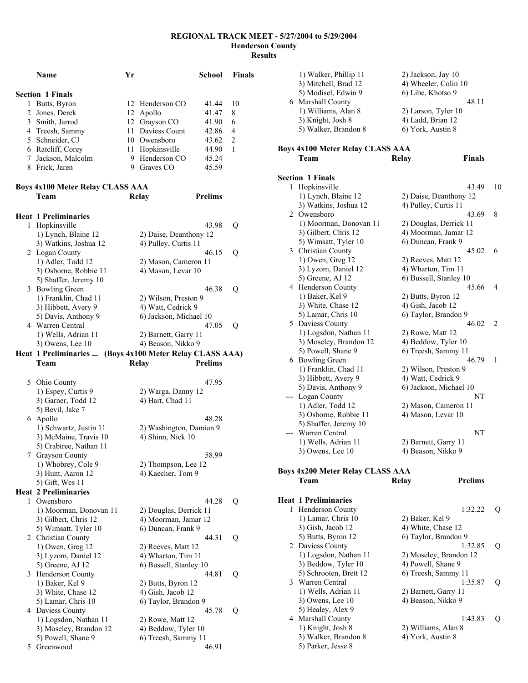|   | <b>Name</b>                                | Yr |                                        | <b>School</b>  | <b>Finals</b>  |
|---|--------------------------------------------|----|----------------------------------------|----------------|----------------|
|   | <b>Section 1 Finals</b>                    |    |                                        |                |                |
| 1 | Butts, Byron                               |    | 12 Henderson CO                        | 41.44          | 10             |
|   | 2 Jones, Derek                             |    | 12 Apollo                              | 41.47          | 8              |
|   | 3 Smith, Jarrod                            |    | 12 Grayson CO                          | 41.90          | 6              |
|   | 4 Treesh, Sammy                            |    | 11 Daviess Count                       | 42.86          | 4              |
|   | 5 Schneider, CJ                            |    | 10 Owensboro                           | 43.62          | $\overline{c}$ |
|   | 6 Ratcliff, Corey                          |    | 11 Hopkinsville                        | 44.90          | 1              |
|   | 7 Jackson, Malcolm                         |    | 9 Henderson CO                         | 45.24          |                |
|   | 8 Frick, Jaren                             |    | 9 Graves CO                            | 45.59          |                |
|   | Boys 4x100 Meter Relay CLASS AAA           |    |                                        |                |                |
|   | Team                                       |    | Relay                                  | <b>Prelims</b> |                |
|   |                                            |    |                                        |                |                |
|   | <b>Heat 1 Preliminaries</b>                |    |                                        |                |                |
|   | 1 Hopkinsville                             |    |                                        | 43.98          | Q              |
|   | 1) Lynch, Blaine 12                        |    | 2) Daise, Deanthony 12                 |                |                |
|   | 3) Watkins, Joshua 12                      |    | 4) Pulley, Curtis 11                   |                |                |
|   | 2 Logan County                             |    |                                        | 46.15          | Q              |
|   | 1) Adler, Todd 12<br>3) Osborne, Robbie 11 |    | 2) Mason, Cameron 11                   |                |                |
|   | 5) Shaffer, Jeremy 10                      |    | 4) Mason, Levar 10                     |                |                |
|   | 3 Bowling Green                            |    |                                        | 46.38          | Q              |
|   | 1) Franklin, Chad 11                       |    | 2) Wilson, Preston 9                   |                |                |
|   | 3) Hibbett, Avery 9                        |    | 4) Watt, Cedrick 9                     |                |                |
|   | 5) Davis, Anthony 9                        |    | 6) Jackson, Michael 10                 |                |                |
|   | 4 Warren Central                           |    |                                        | 47.05          | Q              |
|   | 1) Wells, Adrian 11                        |    | 2) Barnett, Garry 11                   |                |                |
|   | 3) Owens, Lee 10                           |    | 4) Beason, Nikko 9                     |                |                |
|   | Heat 1 Preliminaries                       |    | (Boys 4x100 Meter Relay CLASS AAA)     |                |                |
|   | Team                                       |    | <b>Relay</b>                           | <b>Prelims</b> |                |
|   |                                            |    |                                        |                |                |
|   | 5 Ohio County                              |    |                                        | 47.95          |                |
|   | 1) Espey, Curtis 9<br>3) Garner, Todd 12   |    | 2) Warga, Danny 12<br>4) Hart, Chad 11 |                |                |
|   | 5) Bevil, Jake 7                           |    |                                        |                |                |
|   | 6 Apollo                                   |    |                                        | 48.28          |                |
|   | 1) Schwartz, Justin 11                     |    | 2) Washington, Damian 9                |                |                |
|   | 3) McMaine, Travis 10                      |    | 4) Shinn, Nick 10                      |                |                |
|   | 5) Crabtree, Nathan 11                     |    |                                        |                |                |
|   | 7 Grayson County                           |    |                                        | 58.99          |                |
|   | 1) Whobrey, Cole 9                         |    | 2) Thompson, Lee 12                    |                |                |
|   | 3) Hunt, Aaron 12                          |    | 4) Kaecher, Tom 9                      |                |                |
|   | 5) Gift, Wes 11                            |    |                                        |                |                |
|   | <b>Heat 2 Preliminaries</b>                |    |                                        |                |                |
| 1 | Owensboro                                  |    |                                        | 44.28          | Q              |
|   | 1) Moorman, Donovan 11                     |    | 2) Douglas, Derrick 11                 |                |                |
|   | 3) Gilbert, Chris 12                       |    | 4) Moorman, Jamar 12                   |                |                |
|   | 5) Wimsatt, Tyler 10                       |    | 6) Duncan, Frank 9                     |                |                |
|   | 2 Christian County                         |    |                                        | 44.31          | Q              |
|   | $1)$ Owen, Greg $12$                       |    | 2) Reeves, Matt 12                     |                |                |
|   | 3) Lyzom, Daniel 12                        |    | 4) Wharton, Tim 11                     |                |                |
|   | 5) Greene, AJ 12<br>3 Henderson County     |    | 6) Bussell, Stanley 10                 | 44.81          |                |
|   | 1) Baker, Kel 9                            |    | 2) Butts, Byron 12                     |                | Q              |
|   | 3) White, Chase 12                         |    | 4) Gish, Jacob 12                      |                |                |
|   | 5) Lamar, Chris 10                         |    | 6) Taylor, Brandon 9                   |                |                |
|   | 4 Daviess County                           |    |                                        | 45.78          | Q              |
|   | 1) Logsdon, Nathan 11                      |    | 2) Rowe, Matt 12                       |                |                |
|   | 3) Moseley, Brandon 12                     |    | 4) Beddow, Tyler 10                    |                |                |
|   | 5) Powell, Shane 9                         |    | 6) Treesh, Sammy 11                    |                |                |
| 5 | Greenwood                                  |    |                                        | 46.91          |                |

|     | 1) Walker, Phillip 11                           | 2) Jackson, Jay 10                         |    |
|-----|-------------------------------------------------|--------------------------------------------|----|
|     | 3) Mitchell, Brad 12                            | 4) Wheeler, Colin 10                       |    |
|     | 5) Modisel, Edwin 9                             | 6) Libe, Khotso 9                          |    |
|     | 6 Marshall County                               | 48.11                                      |    |
|     | 1) Williams, Alan 8                             | 2) Larson, Tyler 10                        |    |
|     | 3) Knight, Josh 8<br>5) Walker, Brandon 8       | 4) Ladd, Brian 12<br>6) York, Austin 8     |    |
|     |                                                 |                                            |    |
|     | Boys 4x100 Meter Relay CLASS AAA                |                                            |    |
|     | Team                                            | <b>Finals</b><br>Relay                     |    |
|     | <b>Section 1 Finals</b>                         |                                            |    |
|     | 1 Hopkinsville                                  | 43.49                                      | 10 |
|     | 1) Lynch, Blaine 12                             | 2) Daise, Deanthony 12                     |    |
|     | 3) Watkins, Joshua 12                           | 4) Pulley, Curtis 11                       |    |
|     | 2 Owensboro                                     | 43.69                                      | 8  |
|     | 1) Moorman, Donovan 11                          | 2) Douglas, Derrick 11                     |    |
|     | 3) Gilbert, Chris 12                            | 4) Moorman, Jamar 12                       |    |
|     | 5) Wimsatt, Tyler 10                            | 6) Duncan, Frank 9                         |    |
|     | 3 Christian County                              | 45.02                                      | 6  |
|     | 1) Owen, Greg 12                                | 2) Reeves, Matt 12                         |    |
|     | 3) Lyzom, Daniel 12                             | 4) Wharton, Tim 11                         |    |
|     | 5) Greene, AJ 12                                | 6) Bussell, Stanley 10                     |    |
|     | 4 Henderson County                              | 45.66                                      | 4  |
|     | 1) Baker, Kel 9                                 | 2) Butts, Byron 12                         |    |
|     | 3) White, Chase 12                              | 4) Gish, Jacob 12                          |    |
|     | 5) Lamar, Chris 10                              | 6) Taylor, Brandon 9                       |    |
|     | 5 Daviess County                                | 46.02                                      | 2  |
|     | 1) Logsdon, Nathan 11                           | 2) Rowe, Matt 12                           |    |
|     | 3) Moseley, Brandon 12                          | 4) Beddow, Tyler 10                        |    |
|     | 5) Powell, Shane 9<br>6 Bowling Green           | 6) Treesh, Sammy 11<br>46.79               | 1  |
|     | 1) Franklin, Chad 11                            | 2) Wilson, Preston 9                       |    |
|     |                                                 |                                            |    |
|     |                                                 |                                            |    |
|     | 3) Hibbett, Avery 9                             | 4) Watt, Cedrick 9                         |    |
|     | 5) Davis, Anthony 9                             | 6) Jackson, Michael 10<br>NΤ               |    |
|     | --- Logan County                                |                                            |    |
|     | 1) Adler, Todd 12<br>3) Osborne, Robbie 11      | 2) Mason, Cameron 11<br>4) Mason, Levar 10 |    |
|     | 5) Shaffer, Jeremy 10                           |                                            |    |
| --- | Warren Central                                  | NT                                         |    |
|     | 1) Wells, Adrian 11                             | 2) Barnett, Garry 11                       |    |
|     | 3) Owens, Lee 10                                | 4) Beason, Nikko 9                         |    |
|     |                                                 |                                            |    |
|     | <b>Boys 4x200 Meter Relay CLASS AAA</b><br>Team | <b>Prelims</b><br>Relay                    |    |
|     |                                                 |                                            |    |
|     | <b>Heat 1 Preliminaries</b>                     |                                            |    |
|     | 1 Henderson County                              | 1:32.22                                    | Q  |
|     | 1) Lamar, Chris 10                              | 2) Baker, Kel 9                            |    |
|     | 3) Gish, Jacob 12                               | 4) White, Chase 12                         |    |
|     | 5) Butts, Byron 12                              | 6) Taylor, Brandon 9                       |    |
|     | 2 Daviess County                                | 1:32.85                                    | Q  |
|     | 1) Logsdon, Nathan 11                           | 2) Moseley, Brandon 12                     |    |
|     | 3) Beddow, Tyler 10                             | 4) Powell, Shane 9                         |    |
|     | 5) Schrooten, Brett 12<br>3 Warren Central      | 6) Treesh, Sammy 11<br>1:35.87             | Q  |
|     | 1) Wells, Adrian 11                             | 2) Barnett, Garry 11                       |    |
|     | 3) Owens, Lee 10                                | 4) Beason, Nikko 9                         |    |
|     | 5) Healey, Alex 9                               |                                            |    |
|     | 4 Marshall County                               | 1:43.83                                    | Q  |
|     | 1) Knight, Josh 8                               | 2) Williams, Alan 8                        |    |
|     | 3) Walker, Brandon 8<br>5) Parker, Jesse 8      | 4) York, Austin 8                          |    |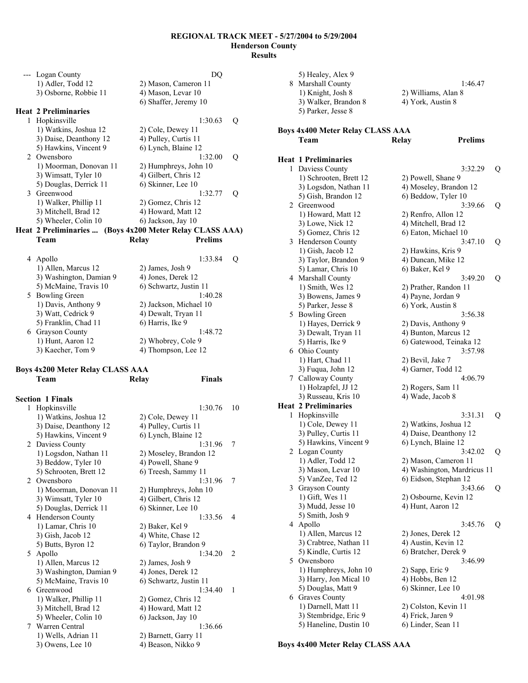|   | --- Logan County            |                                    | DQ             |   |
|---|-----------------------------|------------------------------------|----------------|---|
|   | 1) Adler, Todd 12           | 2) Mason, Cameron 11               |                |   |
|   | 3) Osborne, Robbie 11       | 4) Mason, Levar 10                 |                |   |
|   |                             | 6) Shaffer, Jeremy 10              |                |   |
|   | <b>Heat 2 Preliminaries</b> |                                    |                |   |
| 1 | Hopkinsville                |                                    | 1:30.63        | Q |
|   | 1) Watkins, Joshua 12       | 2) Cole, Dewey 11                  |                |   |
|   | 3) Daise, Deanthony 12      | 4) Pulley, Curtis 11               |                |   |
|   | 5) Hawkins, Vincent 9       | 6) Lynch, Blaine 12                |                |   |
|   | 2 Owensboro                 |                                    | 1:32.00        | Q |
|   | 1) Moorman, Donovan 11      | 2) Humphreys, John 10              |                |   |
|   | 3) Wimsatt, Tyler 10        | 4) Gilbert, Chris 12               |                |   |
|   | 5) Douglas, Derrick 11      | 6) Skinner, Lee 10                 |                |   |
|   | 3 Greenwood                 |                                    | 1:32.77        | Q |
|   | 1) Walker, Phillip 11       | 2) Gomez, Chris 12                 |                |   |
|   | 3) Mitchell, Brad 12        | 4) Howard, Matt 12                 |                |   |
|   | 5) Wheeler, Colin 10        | 6) Jackson, Jay 10                 |                |   |
|   | Heat 2 Preliminaries        | (Boys 4x200 Meter Relay CLASS AAA) |                |   |
|   | Team                        | Relay                              | <b>Prelims</b> |   |
|   |                             |                                    |                |   |
|   | 4 Apollo                    |                                    | 1:33.84        | Q |
|   | 1) Allen, Marcus 12         | 2) James, Josh 9                   |                |   |
|   | 3) Washington, Damian 9     | 4) Jones, Derek 12                 |                |   |
|   | 5) McMaine, Travis 10       | 6) Schwartz, Justin 11             |                |   |
|   | 5 Bowling Green             |                                    | 1:40.28        |   |
|   | 1) Davis, Anthony 9         | 2) Jackson, Michael 10             |                |   |
|   | 3) Watt, Cedrick 9          | 4) Dewalt, Tryan 11                |                |   |
|   | 5) Franklin, Chad 11        | 6) Harris, Ike 9                   |                |   |
| 6 | <b>Grayson County</b>       |                                    | 1:48.72        |   |
|   | 1) Hunt, Aaron 12           | 2) Whobrey, Cole 9                 |                |   |

3) Kaecher, Tom 9 4) Thompson, Lee 12

**Finals** 

# **Boys 4x200 Meter Relay CLASS AAA**

|   | <b>Section 1 Finals</b> |                        |                |
|---|-------------------------|------------------------|----------------|
| 1 | Hopkinsville            | 1:30.76                | 10             |
|   | 1) Watkins, Joshua 12   | 2) Cole, Dewey 11      |                |
|   | 3) Daise, Deanthony 12  | 4) Pulley, Curtis 11   |                |
|   | 5) Hawkins, Vincent 9   | 6) Lynch, Blaine 12    |                |
|   | 2 Daviess County        | 1:31.96                | 7              |
|   | 1) Logsdon, Nathan 11   | 2) Moseley, Brandon 12 |                |
|   | 3) Beddow, Tyler 10     | 4) Powell, Shane 9     |                |
|   | 5) Schrooten, Brett 12  | 6) Treesh, Sammy 11    |                |
|   | 2 Owensboro             | 1:31.96                | 7              |
|   | 1) Moorman, Donovan 11  | 2) Humphreys, John 10  |                |
|   | 3) Wimsatt, Tyler 10    | 4) Gilbert, Chris 12   |                |
|   | 5) Douglas, Derrick 11  | 6) Skinner, Lee 10     |                |
|   | 4 Henderson County      | 1.3356                 | 4              |
|   | 1) Lamar, Chris 10      | 2) Baker, Kel 9        |                |
|   | 3) Gish, Jacob 12       | 4) White, Chase 12     |                |
|   | 5) Butts, Byron 12      | 6) Taylor, Brandon 9   |                |
|   | 5 Apollo                | 1.3420                 | $\mathfrak{D}$ |
|   | 1) Allen, Marcus 12     | 2) James, Josh 9       |                |
|   | 3) Washington, Damian 9 | 4) Jones, Derek 12     |                |
|   | 5) McMaine, Travis 10   | 6) Schwartz, Justin 11 |                |
|   | 6 Greenwood             | 1:34.40                | 1              |
|   | 1) Walker, Phillip 11   | 2) Gomez, Chris 12     |                |
|   | 3) Mitchell, Brad 12    | 4) Howard, Matt 12     |                |
|   | 5) Wheeler, Colin 10    | 6) Jackson, Jay 10     |                |
|   | 7 Warren Central        | 1:36.66                |                |
|   | 1) Wells, Adrian 11     | 2) Barnett, Garry 11   |                |
|   | $3)$ Owens, Lee 10      | 4) Beason, Nikko 9     |                |

| 8 | 5) Healey, Alex 9<br><b>Marshall County</b><br>1) Knight, Josh 8<br>3) Walker, Brandon 8<br>5) Parker, Jesse 8 | 1:46.47<br>2) Williams, Alan 8<br>4) York, Austin 8 |   |
|---|----------------------------------------------------------------------------------------------------------------|-----------------------------------------------------|---|
|   | <b>Boys 4x400 Meter Relay CLASS AAA</b><br>Team                                                                | <b>Prelims</b><br>Relay                             |   |
|   | <b>Heat 1 Preliminaries</b>                                                                                    |                                                     |   |
| 1 | Daviess County                                                                                                 | 3:32.29                                             | Q |
|   | 1) Schrooten, Brett 12                                                                                         | 2) Powell, Shane 9                                  |   |
|   | 3) Logsdon, Nathan 11                                                                                          | 4) Moseley, Brandon 12                              |   |
|   | 5) Gish, Brandon 12                                                                                            | 6) Beddow, Tyler 10                                 |   |
|   | 2 Greenwood                                                                                                    | 3:39.66                                             | Q |
|   | 1) Howard, Matt 12                                                                                             | 2) Renfro, Allon 12                                 |   |
|   | 3) Lowe, Nick 12                                                                                               | 4) Mitchell, Brad 12                                |   |
|   | 5) Gomez, Chris 12                                                                                             | 6) Eaton, Michael 10                                |   |
| 3 | Henderson County                                                                                               | 3:47.10                                             | Q |
|   | 1) Gish, Jacob 12                                                                                              | 2) Hawkins, Kris 9                                  |   |
|   | 3) Taylor, Brandon 9                                                                                           | 4) Duncan, Mike 12                                  |   |
|   | 5) Lamar, Chris 10                                                                                             | 6) Baker, Kel 9                                     |   |
|   | 4 Marshall County                                                                                              | 3:49.20                                             | Q |
|   | 1) Smith, Wes 12                                                                                               | 2) Prather, Randon 11                               |   |
|   | 3) Bowens, James 9                                                                                             | 4) Payne, Jordan 9                                  |   |
|   | 5) Parker, Jesse 8                                                                                             | 6) York, Austin 8                                   |   |
| 5 | <b>Bowling Green</b>                                                                                           | 3:56.38                                             |   |
|   | 1) Hayes, Derrick 9                                                                                            | 2) Davis, Anthony 9                                 |   |
|   | 3) Dewalt, Tryan 11                                                                                            | 4) Bunton, Marcus 12                                |   |
|   | 5) Harris, Ike 9                                                                                               | 6) Gatewood, Teinaka 12                             |   |
| 6 | Ohio County                                                                                                    | 3:57.98                                             |   |
|   | 1) Hart, Chad 11<br>3) Fuqua, John 12                                                                          | 2) Bevil, Jake 7<br>4) Garner, Todd 12              |   |
|   | 7 Calloway County                                                                                              | 4:06.79                                             |   |
|   | 1) Holzapfel, JJ 12                                                                                            | 2) Rogers, Sam 11                                   |   |
|   | 3) Russeau, Kris 10                                                                                            | 4) Wade, Jacob 8                                    |   |
|   | <b>Heat 2 Preliminaries</b>                                                                                    |                                                     |   |
| 1 | Hopkinsville                                                                                                   | 3:31.31                                             | Q |
|   | 1) Cole, Dewey 11                                                                                              | 2) Watkins, Joshua 12                               |   |
|   | 3) Pulley, Curtis 11                                                                                           | 4) Daise, Deanthony 12                              |   |
|   | 5) Hawkins, Vincent 9                                                                                          | 6) Lynch, Blaine 12                                 |   |
|   | 2 Logan County                                                                                                 | 3:42.02                                             | Q |
|   | 1) Adler, Todd 12                                                                                              | 2) Mason, Cameron 11                                |   |
|   | 3) Mason, Levar 10                                                                                             | 4) Washington, Mardricus 11                         |   |
|   | 5) VanZee, Ted 12                                                                                              | 6) Eidson, Stephan 12                               |   |
| 3 | Grayson County                                                                                                 | 3:43.66                                             | Q |
|   | 1) Gift, Wes 11                                                                                                | 2) Osbourne, Kevin 12                               |   |
|   | 3) Mudd, Jesse 10                                                                                              | 4) Hunt, Aaron 12                                   |   |
|   | 5) Smith, Josh 9                                                                                               |                                                     |   |
| 4 | Apollo                                                                                                         | 3:45.76                                             | Q |
|   | 1) Allen, Marcus 12                                                                                            | 2) Jones, Derek 12                                  |   |
|   | 3) Crabtree, Nathan 11                                                                                         | 4) Austin, Kevin 12                                 |   |
|   | 5) Kindle, Curtis 12                                                                                           | 6) Bratcher, Derek 9                                |   |
| 5 | Owensboro                                                                                                      | 3:46.99                                             |   |
|   | 1) Humphreys, John 10                                                                                          | 2) Sapp, Eric 9                                     |   |
|   | 3) Harry, Jon Mical 10                                                                                         | 4) Hobbs, Ben 12                                    |   |
|   | 5) Douglas, Matt 9                                                                                             | 6) Skinner, Lee 10                                  |   |
| 6 | Graves County                                                                                                  | 4:01.98                                             |   |
|   | 1) Darnell, Matt 11                                                                                            | 2) Colston, Kevin 11                                |   |
|   | 3) Stembridge, Eric 9<br>5) Haneline, Dustin 10                                                                | 4) Frick, Jaren 9<br>6) Linder, Sean 11             |   |
|   |                                                                                                                |                                                     |   |

**Boys 4x400 Meter Relay CLASS AAA**